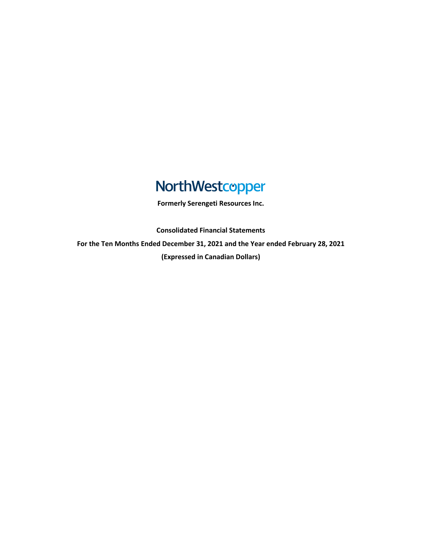# NorthWestcopper

**Formerly Serengeti Resources Inc.**

**Consolidated Financial Statements**

**For the Ten Months Ended December 31, 2021 and the Year ended February 28, 2021 (Expressed in Canadian Dollars)**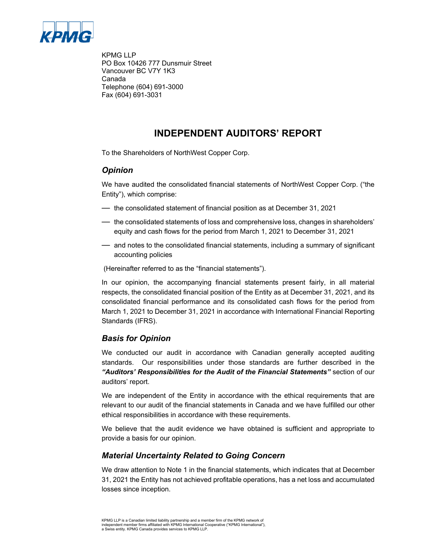

KPMG LLP PO Box 10426 777 Dunsmuir Street Vancouver BC V7Y 1K3 Canada Telephone (604) 691-3000 Fax (604) 691-3031

## **INDEPENDENT AUDITORS' REPORT**

To the Shareholders of NorthWest Copper Corp.

## *Opinion*

We have audited the consolidated financial statements of NorthWest Copper Corp. ("the Entity"), which comprise:

- the consolidated statement of financial position as at December 31, 2021
- the consolidated statements of loss and comprehensive loss, changes in shareholders' equity and cash flows for the period from March 1, 2021 to December 31, 2021
- and notes to the consolidated financial statements, including a summary of significant accounting policies

(Hereinafter referred to as the "financial statements").

In our opinion, the accompanying financial statements present fairly, in all material respects, the consolidated financial position of the Entity as at December 31, 2021, and its consolidated financial performance and its consolidated cash flows for the period from March 1, 2021 to December 31, 2021 in accordance with International Financial Reporting Standards (IFRS).

## *Basis for Opinion*

We conducted our audit in accordance with Canadian generally accepted auditing standards. Our responsibilities under those standards are further described in the *"Auditors' Responsibilities for the Audit of the Financial Statements"* section of our auditors' report.

We are independent of the Entity in accordance with the ethical requirements that are relevant to our audit of the financial statements in Canada and we have fulfilled our other ethical responsibilities in accordance with these requirements.

We believe that the audit evidence we have obtained is sufficient and appropriate to provide a basis for our opinion.

## *Material Uncertainty Related to Going Concern*

We draw attention to Note 1 in the financial statements, which indicates that at December 31, 2021 the Entity has not achieved profitable operations, has a net loss and accumulated losses since inception.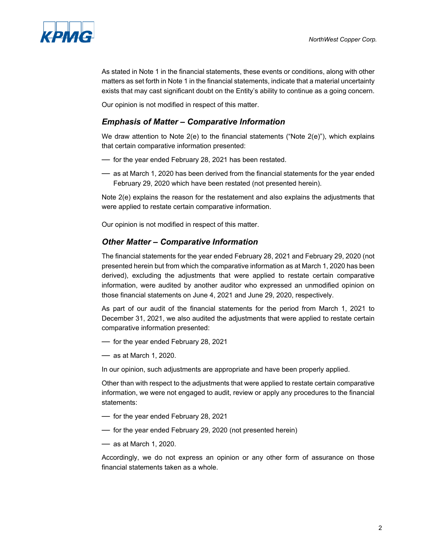

As stated in Note 1 in the financial statements, these events or conditions, along with other matters as set forth in Note 1 in the financial statements, indicate that a material uncertainty exists that may cast significant doubt on the Entity's ability to continue as a going concern.

Our opinion is not modified in respect of this matter.

## *Emphasis of Matter – Comparative Information*

We draw attention to Note  $2(e)$  to the financial statements ("Note  $2(e)$ "), which explains that certain comparative information presented:

- for the year ended February 28, 2021 has been restated.
- as at March 1, 2020 has been derived from the financial statements for the year ended February 29, 2020 which have been restated (not presented herein).

Note 2(e) explains the reason for the restatement and also explains the adjustments that were applied to restate certain comparative information.

Our opinion is not modified in respect of this matter.

## *Other Matter – Comparative Information*

The financial statements for the year ended February 28, 2021 and February 29, 2020 (not presented herein but from which the comparative information as at March 1, 2020 has been derived), excluding the adjustments that were applied to restate certain comparative information, were audited by another auditor who expressed an unmodified opinion on those financial statements on June 4, 2021 and June 29, 2020, respectively.

As part of our audit of the financial statements for the period from March 1, 2021 to December 31, 2021, we also audited the adjustments that were applied to restate certain comparative information presented:

- for the year ended February 28, 2021
- as at March 1, 2020.

In our opinion, such adjustments are appropriate and have been properly applied.

Other than with respect to the adjustments that were applied to restate certain comparative information, we were not engaged to audit, review or apply any procedures to the financial statements:

- for the year ended February 28, 2021
- for the year ended February 29, 2020 (not presented herein)
- as at March 1, 2020.

Accordingly, we do not express an opinion or any other form of assurance on those financial statements taken as a whole.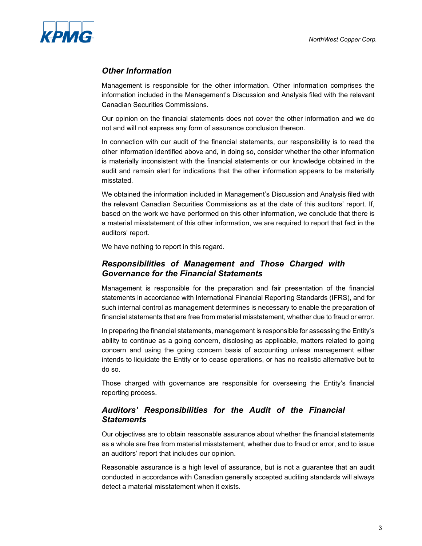

## *Other Information*

Management is responsible for the other information. Other information comprises the information included in the Management's Discussion and Analysis filed with the relevant Canadian Securities Commissions.

Our opinion on the financial statements does not cover the other information and we do not and will not express any form of assurance conclusion thereon.

In connection with our audit of the financial statements, our responsibility is to read the other information identified above and, in doing so, consider whether the other information is materially inconsistent with the financial statements or our knowledge obtained in the audit and remain alert for indications that the other information appears to be materially misstated.

We obtained the information included in Management's Discussion and Analysis filed with the relevant Canadian Securities Commissions as at the date of this auditors' report. If, based on the work we have performed on this other information, we conclude that there is a material misstatement of this other information, we are required to report that fact in the auditors' report.

We have nothing to report in this regard.

## *Responsibilities of Management and Those Charged with Governance for the Financial Statements*

Management is responsible for the preparation and fair presentation of the financial statements in accordance with International Financial Reporting Standards (IFRS), and for such internal control as management determines is necessary to enable the preparation of financial statements that are free from material misstatement, whether due to fraud or error.

In preparing the financial statements, management is responsible for assessing the Entity's ability to continue as a going concern, disclosing as applicable, matters related to going concern and using the going concern basis of accounting unless management either intends to liquidate the Entity or to cease operations, or has no realistic alternative but to do so.

Those charged with governance are responsible for overseeing the Entity's financial reporting process.

## *Auditors' Responsibilities for the Audit of the Financial Statements*

Our objectives are to obtain reasonable assurance about whether the financial statements as a whole are free from material misstatement, whether due to fraud or error, and to issue an auditors' report that includes our opinion.

Reasonable assurance is a high level of assurance, but is not a guarantee that an audit conducted in accordance with Canadian generally accepted auditing standards will always detect a material misstatement when it exists.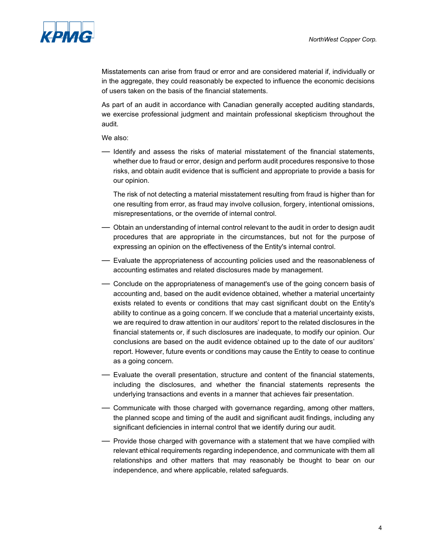

Misstatements can arise from fraud or error and are considered material if, individually or in the aggregate, they could reasonably be expected to influence the economic decisions of users taken on the basis of the financial statements.

As part of an audit in accordance with Canadian generally accepted auditing standards, we exercise professional judgment and maintain professional skepticism throughout the audit.

We also:

— Identify and assess the risks of material misstatement of the financial statements, whether due to fraud or error, design and perform audit procedures responsive to those risks, and obtain audit evidence that is sufficient and appropriate to provide a basis for our opinion.

The risk of not detecting a material misstatement resulting from fraud is higher than for one resulting from error, as fraud may involve collusion, forgery, intentional omissions, misrepresentations, or the override of internal control.

- Obtain an understanding of internal control relevant to the audit in order to design audit procedures that are appropriate in the circumstances, but not for the purpose of expressing an opinion on the effectiveness of the Entity's internal control.
- Evaluate the appropriateness of accounting policies used and the reasonableness of accounting estimates and related disclosures made by management.
- Conclude on the appropriateness of management's use of the going concern basis of accounting and, based on the audit evidence obtained, whether a material uncertainty exists related to events or conditions that may cast significant doubt on the Entity's ability to continue as a going concern. If we conclude that a material uncertainty exists, we are required to draw attention in our auditors' report to the related disclosures in the financial statements or, if such disclosures are inadequate, to modify our opinion. Our conclusions are based on the audit evidence obtained up to the date of our auditors' report. However, future events or conditions may cause the Entity to cease to continue as a going concern.
- Evaluate the overall presentation, structure and content of the financial statements, including the disclosures, and whether the financial statements represents the underlying transactions and events in a manner that achieves fair presentation.
- Communicate with those charged with governance regarding, among other matters, the planned scope and timing of the audit and significant audit findings, including any significant deficiencies in internal control that we identify during our audit.
- Provide those charged with governance with a statement that we have complied with relevant ethical requirements regarding independence, and communicate with them all relationships and other matters that may reasonably be thought to bear on our independence, and where applicable, related safeguards.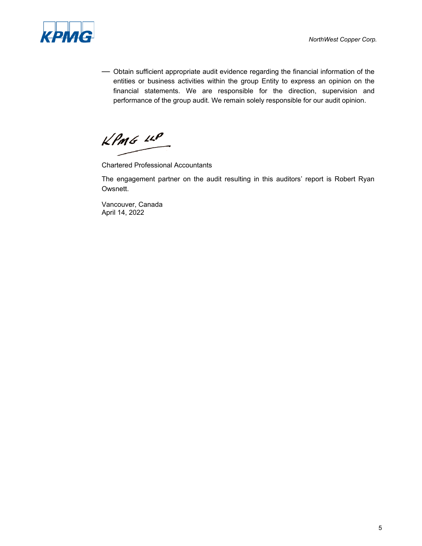

— Obtain sufficient appropriate audit evidence regarding the financial information of the entities or business activities within the group Entity to express an opinion on the financial statements. We are responsible for the direction, supervision and performance of the group audit. We remain solely responsible for our audit opinion.

 $k$ *PMG 14P* 

Chartered Professional Accountants

The engagement partner on the audit resulting in this auditors' report is Robert Ryan Owsnett.

Vancouver, Canada April 14, 2022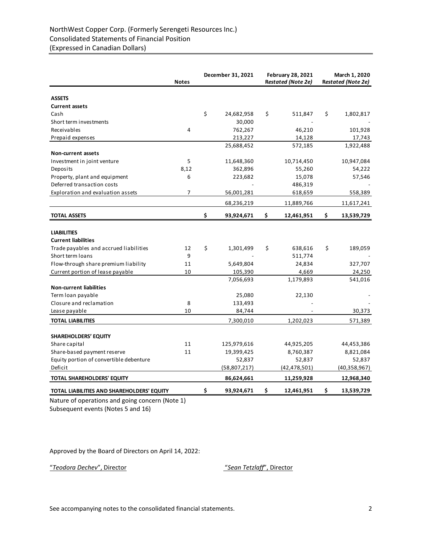|                                            | <b>Notes</b>   | December 31, 2021 |                | <b>February 28, 2021</b><br>Restated (Note 2e) | March 1, 2020<br>Restated (Note 2e) |
|--------------------------------------------|----------------|-------------------|----------------|------------------------------------------------|-------------------------------------|
| <b>ASSETS</b>                              |                |                   |                |                                                |                                     |
| <b>Current assets</b>                      |                |                   |                |                                                |                                     |
| Cash                                       |                | \$                | 24,682,958     | \$<br>511,847                                  | \$<br>1,802,817                     |
| Short term investments                     |                |                   | 30,000         |                                                |                                     |
| Receivables                                | 4              |                   | 762,267        | 46,210                                         | 101,928                             |
| Prepaid expenses                           |                |                   | 213,227        | 14,128                                         | 17,743                              |
|                                            |                |                   | 25,688,452     | 572,185                                        | 1,922,488                           |
| <b>Non-current assets</b>                  |                |                   |                |                                                |                                     |
| Investment in joint venture                | 5              |                   | 11,648,360     | 10,714,450                                     | 10,947,084                          |
| Deposits                                   | 8,12           |                   | 362,896        | 55,260                                         | 54,222                              |
| Property, plant and equipment              | 6              |                   | 223,682        | 15,078                                         | 57,546                              |
| Deferred transaction costs                 |                |                   |                | 486,319                                        |                                     |
| Exploration and evaluation assets          | $\overline{7}$ |                   | 56,001,281     | 618,659                                        | 558,389                             |
|                                            |                |                   | 68,236,219     | 11,889,766                                     | 11,617,241                          |
| <b>TOTAL ASSETS</b>                        |                | \$                | 93,924,671     | \$<br>12,461,951                               | \$<br>13,539,729                    |
|                                            |                |                   |                |                                                |                                     |
| <b>LIABILITIES</b>                         |                |                   |                |                                                |                                     |
| <b>Current liabilities</b>                 |                |                   |                |                                                |                                     |
| Trade payables and accrued liabilities     | 12             | \$                | 1,301,499      | \$<br>638,616                                  | \$<br>189,059                       |
| Short term loans                           | 9              |                   |                | 511,774                                        |                                     |
| Flow-through share premium liability       | 11             |                   | 5,649,804      | 24,834                                         | 327,707                             |
| Current portion of lease payable           | 10             |                   | 105,390        | 4,669                                          | 24,250                              |
|                                            |                |                   | 7,056,693      | 1,179,893                                      | 541,016                             |
| <b>Non-current liabilities</b>             |                |                   |                |                                                |                                     |
| Term loan payable                          |                |                   | 25,080         | 22,130                                         |                                     |
| Closure and reclamation                    | 8              |                   | 133,493        |                                                |                                     |
| Lease payable                              | 10             |                   | 84,744         |                                                | 30,373                              |
| <b>TOTAL LIABILITIES</b>                   |                |                   | 7,300,010      | 1,202,023                                      | 571,389                             |
|                                            |                |                   |                |                                                |                                     |
| <b>SHAREHOLDERS' EQUITY</b>                |                |                   |                |                                                |                                     |
| Share capital                              | 11             |                   | 125,979,616    | 44,925,205                                     | 44,453,386                          |
| Share-based payment reserve                | 11             |                   | 19,399,425     | 8,760,387                                      | 8,821,084                           |
| Equity portion of convertible debenture    |                |                   | 52,837         | 52,837                                         | 52,837                              |
| Deficit                                    |                |                   | (58, 807, 217) | (42,478,501)                                   | (40,358,967)                        |
| TOTAL SHAREHOLDERS' EQUITY                 |                |                   | 86,624,661     | 11,259,928                                     | 12,968,340                          |
| TOTAL LIABILITIES AND SHAREHOLDERS' EQUITY |                | \$                | 93,924,671     | \$<br>12,461,951                               | \$<br>13,539,729                    |

Nature of operations and going concern (Note 1) Subsequent events (Notes 5 and 16)

Approved by the Board of Directors on April 14, 2022:

"*Teodora Dechev*", Director "*Sean Tetzlaff*", Director

See accompanying notes to the consolidated financial statements. 2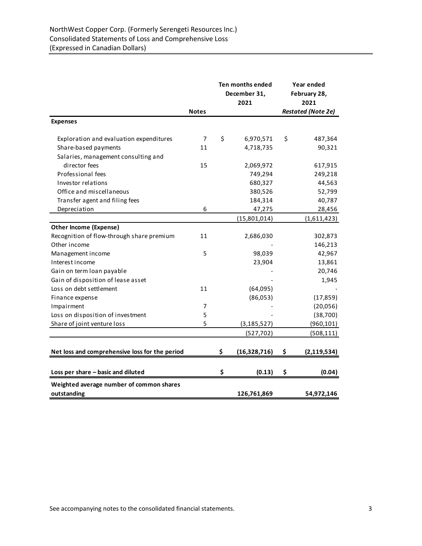|                                                         |              | <b>Ten months ended</b><br>December 31,<br>2021 |                           | Year ended<br>February 28,<br>2021 |  |
|---------------------------------------------------------|--------------|-------------------------------------------------|---------------------------|------------------------------------|--|
|                                                         | <b>Notes</b> |                                                 | <b>Restated (Note 2e)</b> |                                    |  |
| <b>Expenses</b>                                         |              |                                                 |                           |                                    |  |
| Exploration and evaluation expenditures                 | 7            | \$<br>6,970,571                                 | \$                        | 487,364                            |  |
| Share-based payments                                    | 11           | 4,718,735                                       |                           | 90,321                             |  |
| Salaries, management consulting and                     |              |                                                 |                           |                                    |  |
| director fees                                           | 15           | 2,069,972                                       |                           | 617,915                            |  |
| Professional fees                                       |              | 749,294                                         |                           | 249,218                            |  |
| Investor relations                                      |              | 680,327                                         |                           | 44,563                             |  |
| Office and miscellaneous                                |              | 380,526                                         |                           | 52,799                             |  |
| Transfer agent and filing fees                          |              | 184,314                                         |                           | 40,787                             |  |
| Depreciation                                            | 6            | 47,275                                          |                           | 28,456                             |  |
|                                                         |              | (15,801,014)                                    |                           | (1,611,423)                        |  |
| <b>Other Income (Expense)</b>                           |              |                                                 |                           |                                    |  |
| Recognition of flow-through share premium               | 11           | 2,686,030                                       |                           | 302,873                            |  |
| Other income                                            |              |                                                 |                           | 146,213                            |  |
| Management income                                       | 5            | 98,039                                          |                           | 42,967                             |  |
| Interest income                                         |              | 23,904                                          |                           | 13,861                             |  |
| Gain on term loan payable                               |              |                                                 |                           | 20,746                             |  |
| Gain of disposition of lease asset                      |              |                                                 |                           | 1,945                              |  |
| Loss on debt settlement                                 | 11           | (64,095)                                        |                           |                                    |  |
| Finance expense                                         |              | (86,053)                                        |                           | (17, 859)                          |  |
| Impairment                                              | 7            |                                                 |                           | (20,056)                           |  |
| Loss on disposition of investment                       | 5            |                                                 |                           | (38, 700)                          |  |
| Share of joint venture loss                             | 5            | (3, 185, 527)                                   |                           | (960, 101)                         |  |
|                                                         |              | (527, 702)                                      |                           | (508, 111)                         |  |
| Net loss and comprehensive loss for the period          |              | \$<br>(16,328,716)                              | \$                        | (2, 119, 534)                      |  |
| Loss per share - basic and diluted                      |              | \$<br>(0.13)                                    | \$                        | (0.04)                             |  |
| Weighted average number of common shares<br>outstanding |              | 126,761,869                                     |                           | 54,972,146                         |  |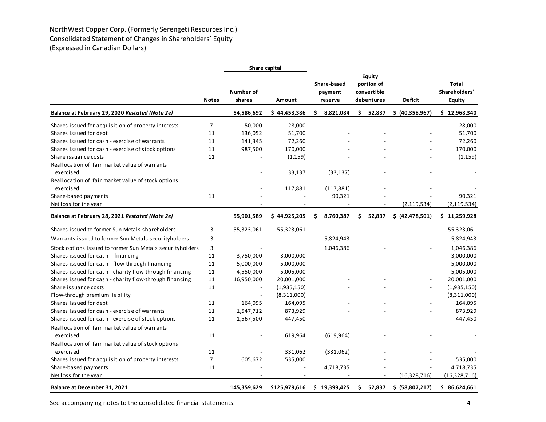## NorthWest Copper Corp. (Formerly Serengeti Resources Inc.) Consolidated Statement of Changes in Shareholders' Equity (Expressed in Canadian Dollars)

|                                                                 |                | Share capital       |               |                                                                                        |              |                   |                                         |
|-----------------------------------------------------------------|----------------|---------------------|---------------|----------------------------------------------------------------------------------------|--------------|-------------------|-----------------------------------------|
|                                                                 | <b>Notes</b>   | Number of<br>shares | <b>Amount</b> | Equity<br>portion of<br>Share-based<br>convertible<br>payment<br>debentures<br>reserve |              | <b>Deficit</b>    | <b>Total</b><br>Shareholders'<br>Equity |
| Balance at February 29, 2020 Restated (Note 2e)                 |                | 54,586,692          | \$44,453,386  | Ś<br>8,821,084                                                                         | \$52,837     | \$ (40,358,967)   | \$12,968,340                            |
| Shares issued for acquisition of property interests             | $\overline{7}$ | 50,000              | 28,000        |                                                                                        |              |                   | 28,000                                  |
| Shares issued for debt                                          | 11             | 136,052             | 51,700        |                                                                                        |              |                   | 51,700                                  |
| Shares issued for cash - exercise of warrants                   | 11             | 141,345             | 72,260        |                                                                                        |              |                   | 72,260                                  |
| Shares issued for cash - exercise of stock options              | 11             | 987,500             | 170,000       |                                                                                        |              |                   | 170,000                                 |
| Share issuance costs                                            | 11             |                     | (1, 159)      |                                                                                        |              |                   | (1, 159)                                |
| Reallocation of fair market value of warrants                   |                |                     |               |                                                                                        |              |                   |                                         |
| exercised                                                       |                |                     | 33,137        | (33, 137)                                                                              |              |                   |                                         |
| Reallocation of fair market value of stock options              |                |                     |               |                                                                                        |              |                   |                                         |
| exercised                                                       |                |                     | 117,881       | (117, 881)                                                                             |              |                   |                                         |
| Share-based payments                                            | 11             |                     |               | 90,321                                                                                 |              |                   | 90,321                                  |
| Net loss for the year                                           |                |                     |               |                                                                                        |              | (2, 119, 534)     | (2, 119, 534)                           |
| Balance at February 28, 2021 Restated (Note 2e)                 |                | 55,901,589          | \$44,925,205  | \$<br>8,760,387                                                                        | Ś.<br>52,837 | \$ (42, 478, 501) | \$11,259,928                            |
| Shares issued to former Sun Metals shareholders                 | 3              | 55,323,061          | 55,323,061    |                                                                                        |              |                   | 55,323,061                              |
| Warrants issued to former Sun Metals security holders           | 3              |                     |               | 5,824,943                                                                              |              |                   | 5,824,943                               |
| Stock options issued to former Sun Metals securityholders       | 3              |                     |               | 1,046,386                                                                              |              |                   | 1,046,386                               |
| Shares issued for cash - financing                              | 11             | 3,750,000           | 3,000,000     |                                                                                        |              |                   | 3,000,000                               |
| Shares issued for cash - flow-through financing                 | 11             | 5,000,000           | 5,000,000     |                                                                                        |              |                   | 5,000,000                               |
| Shares issued for cash - charity flow-through financing         | 11             | 4,550,000           | 5,005,000     |                                                                                        |              |                   | 5,005,000                               |
| Shares issued for cash - charity flow-through financing         | 11             | 16,950,000          | 20,001,000    |                                                                                        |              |                   | 20,001,000                              |
| Share issuance costs                                            | 11             |                     | (1,935,150)   |                                                                                        |              |                   | (1,935,150)                             |
| Flow-through premium liability                                  |                |                     | (8,311,000)   |                                                                                        |              |                   | (8,311,000)                             |
| Shares issued for debt                                          | 11             | 164,095             | 164,095       |                                                                                        |              |                   | 164,095                                 |
| Shares issued for cash - exercise of warrants                   | 11             | 1,547,712           | 873,929       |                                                                                        |              |                   | 873,929                                 |
| Shares issued for cash - exercise of stock options              | 11             | 1,567,500           | 447,450       |                                                                                        |              |                   | 447,450                                 |
| Reallocation of fair market value of warrants                   |                |                     |               |                                                                                        |              |                   |                                         |
| exercised                                                       | 11             |                     | 619,964       | (619, 964)                                                                             |              |                   |                                         |
| Reallocation of fair market value of stock options<br>exercised | 11             |                     | 331,062       | (331,062)                                                                              |              |                   |                                         |
| Shares issued for acquisition of property interests             | $\overline{7}$ | 605,672             | 535,000       |                                                                                        |              |                   | 535,000                                 |
| Share-based payments                                            | 11             |                     |               | 4,718,735                                                                              |              |                   | 4,718,735                               |
| Net loss for the year                                           |                |                     |               |                                                                                        |              | (16, 328, 716)    | (16, 328, 716)                          |
| Balance at December 31, 2021                                    |                | 145,359,629         | \$125,979,616 | \$19,399,425                                                                           | \$<br>52,837 | \$ (58,807,217)   | \$86,624,661                            |

See accompanying notes to the consolidated financial statements. And the statements of the statements of the statements of the statements of the statements of the statements of the statements of the statements of the state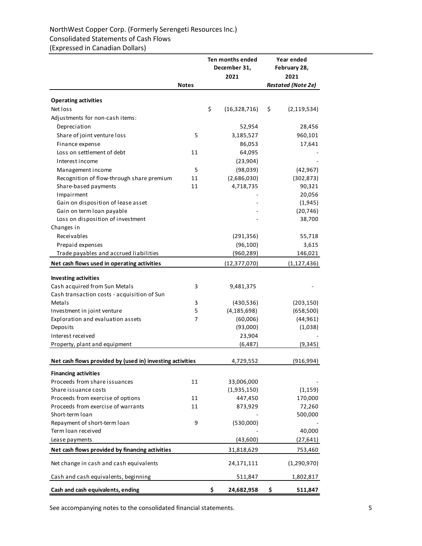## NorthWest Copper Corp. (Formerly Serengeti Resources Inc.) Consolidated Statements of Cash Flows (Expressed in Canadian Dollars)

|                                                              |              | Ten months ended<br>December 31,<br>2021 | Year ended<br>February 28,<br>2021 |                           |  |
|--------------------------------------------------------------|--------------|------------------------------------------|------------------------------------|---------------------------|--|
|                                                              | <b>Notes</b> |                                          |                                    | <b>Restated (Note 2e)</b> |  |
|                                                              |              |                                          |                                    |                           |  |
| <b>Operating activities</b><br>Net loss                      |              | \$<br>(16, 328, 716)                     | \$                                 | (2, 119, 534)             |  |
| Adjustments for non-cash items:                              |              |                                          |                                    |                           |  |
| Depreciation                                                 |              | 52,954                                   |                                    | 28,456                    |  |
| Share of joint venture loss                                  | 5            | 3,185,527                                |                                    | 960,101                   |  |
| Finance expense                                              |              | 86,053                                   |                                    | 17,641                    |  |
| Loss on settlement of debt                                   | 11           | 64,095                                   |                                    |                           |  |
| Interest income                                              |              | (23,904)                                 |                                    |                           |  |
| Management income                                            | 5            | (98, 039)                                |                                    | (42, 967)                 |  |
| Recognition of flow-through share premium                    | 11           | (2,686,030)                              |                                    | (302, 873)                |  |
| Share-based payments                                         | 11           | 4,718,735                                |                                    | 90,321                    |  |
| Impairment                                                   |              |                                          |                                    | 20,056                    |  |
| Gain on disposition of lease asset                           |              |                                          |                                    | (1, 945)                  |  |
| Gain on term loan payable                                    |              |                                          |                                    | (20, 746)                 |  |
| Loss on disposition of investment                            |              |                                          |                                    | 38,700                    |  |
| Changes in                                                   |              |                                          |                                    |                           |  |
| Receivables                                                  |              | (291, 356)                               |                                    | 55,718                    |  |
| Prepaid expenses                                             |              | (96, 100)                                |                                    | 3,615                     |  |
| Trade payables and accrued liabilities                       |              | (960, 289)                               |                                    | 146,021                   |  |
| Net cash flows used in operating activities                  |              | (12, 377, 070)                           |                                    | (1, 127, 436)             |  |
|                                                              |              |                                          |                                    |                           |  |
| <b>Investing activities</b><br>Cash acquired from Sun Metals | 3            | 9,481,375                                |                                    |                           |  |
| Cash transaction costs - acquisition of Sun                  |              |                                          |                                    |                           |  |
| Metals                                                       | 3            | (430, 536)                               |                                    | (203, 150)                |  |
| Investment in joint venture                                  | 5            | (4, 185, 698)                            |                                    | (658, 500)                |  |
| Exploration and evaluation assets                            | 7            | (60,006)                                 |                                    | (44, 961)                 |  |
| Deposits                                                     |              | (93,000)                                 |                                    | (1,038)                   |  |
| Interest received                                            |              | 23,904                                   |                                    |                           |  |
| Property, plant and equipment                                |              | (6, 487)                                 |                                    | (9, 345)                  |  |
|                                                              |              |                                          |                                    |                           |  |
| Net cash flows provided by (used in) investing activities    |              | 4,729,552                                |                                    | (916, 994)                |  |
| <b>Financing activities</b>                                  |              |                                          |                                    |                           |  |
| Proceeds from share issuances                                | 11           | 33,006,000                               |                                    |                           |  |
| Share issuance costs                                         |              | (1,935,150)                              |                                    | (1, 159)                  |  |
| Proceeds from exercise of options                            | 11           | 447,450                                  |                                    | 170,000                   |  |
| Proceeds from exercise of warrants                           | 11           | 873,929                                  |                                    | 72,260                    |  |
| Short-term loan                                              |              |                                          |                                    | 500,000                   |  |
| Repayment of short-term loan                                 | 9            | (530,000)                                |                                    |                           |  |
| Term Ioan received                                           |              |                                          |                                    | 40,000                    |  |
| Lease payments                                               |              | (43,600)                                 |                                    | (27, 641)                 |  |
| Net cash flows provided by financing activities              |              | 31,818,629                               |                                    | 753,460                   |  |
| Net change in cash and cash equivalents                      |              | 24,171,111                               |                                    | (1,290,970)               |  |
| Cash and cash equivalents, beginning                         |              | 511,847                                  |                                    | 1,802,817                 |  |
| Cash and cash equivalents, ending                            |              | \$<br>24,682,958                         | \$                                 | 511,847                   |  |

See accompanying notes to the consolidated financial statements. The second statements of  $5$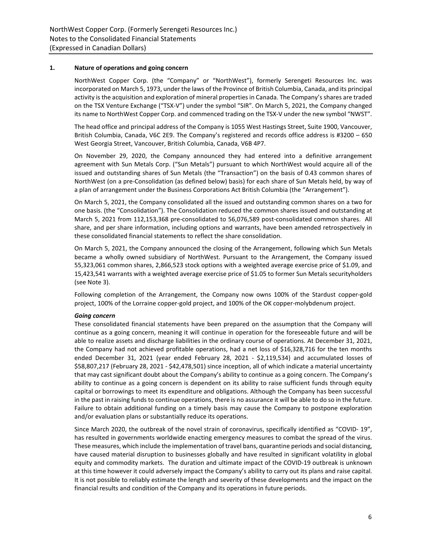## **1. Nature of operations and going concern**

NorthWest Copper Corp. (the "Company" or "NorthWest"), formerly Serengeti Resources Inc. was incorporated on March 5, 1973, under the laws of the Province of British Columbia, Canada, and its principal activity is the acquisition and exploration of mineral properties in Canada. The Company's shares are traded on the TSX Venture Exchange ("TSX-V") under the symbol "SIR". On March 5, 2021, the Company changed its name to NorthWest Copper Corp. and commenced trading on the TSX-V under the new symbol "NWST".

The head office and principal address of the Company is 1055 West Hastings Street, Suite 1900, Vancouver, British Columbia, Canada, V6C 2E9. The Company's registered and records office address is #3200 – 650 West Georgia Street, Vancouver, British Columbia, Canada, V6B 4P7.

On November 29, 2020, the Company announced they had entered into a definitive arrangement agreement with Sun Metals Corp. ("Sun Metals") pursuant to which NorthWest would acquire all of the issued and outstanding shares of Sun Metals (the "Transaction") on the basis of 0.43 common shares of NorthWest (on a pre-Consolidation (as defined below) basis) for each share of Sun Metals held, by way of a plan of arrangement under the Business Corporations Act British Columbia (the "Arrangement").

On March 5, 2021, the Company consolidated all the issued and outstanding common shares on a two for one basis. (the "Consolidation"). The Consolidation reduced the common shares issued and outstanding at March 5, 2021 from 112,153,368 pre-consolidated to 56,076,589 post-consolidated common shares. All share, and per share information, including options and warrants, have been amended retrospectively in these consolidated financial statements to reflect the share consolidation.

On March 5, 2021, the Company announced the closing of the Arrangement, following which Sun Metals became a wholly owned subsidiary of NorthWest. Pursuant to the Arrangement, the Company issued 55,323,061 common shares, 2,866,523 stock options with a weighted average exercise price of \$1.09, and 15,423,541 warrants with a weighted average exercise price of \$1.05 to former Sun Metals securityholders (see Note 3).

Following completion of the Arrangement, the Company now owns 100% of the Stardust copper-gold project, 100% of the Lorraine copper-gold project, and 100% of the OK copper-molybdenum project.

## *Going concern*

These consolidated financial statements have been prepared on the assumption that the Company will continue as a going concern, meaning it will continue in operation for the foreseeable future and will be able to realize assets and discharge liabilities in the ordinary course of operations. At December 31, 2021, the Company had not achieved profitable operations, had a net loss of \$16,328,716 for the ten months ended December 31, 2021 (year ended February 28, 2021 - \$2,119,534) and accumulated losses of \$58,807,217 (February 28, 2021 - \$42,478,501) since inception, all of which indicate a material uncertainty that may cast significant doubt about the Company's ability to continue as a going concern. The Company's ability to continue as a going concern is dependent on its ability to raise sufficient funds through equity capital or borrowings to meet its expenditure and obligations. Although the Company has been successful in the past in raising funds to continue operations, there is no assurance it will be able to do so in the future. Failure to obtain additional funding on a timely basis may cause the Company to postpone exploration and/or evaluation plans or substantially reduce its operations.

Since March 2020, the outbreak of the novel strain of coronavirus, specifically identified as "COVID- 19", has resulted in governments worldwide enacting emergency measures to combat the spread of the virus. These measures, which include the implementation of travel bans, quarantine periods and social distancing, have caused material disruption to businesses globally and have resulted in significant volatility in global equity and commodity markets. The duration and ultimate impact of the COVID-19 outbreak is unknown at this time however it could adversely impact the Company's ability to carry out its plans and raise capital. It is not possible to reliably estimate the length and severity of these developments and the impact on the financial results and condition of the Company and its operations in future periods.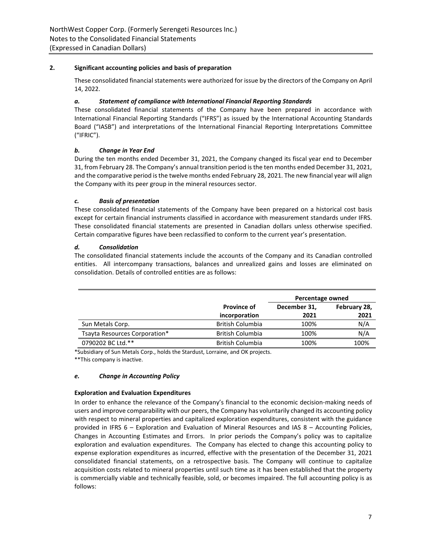These consolidated financial statements were authorized for issue by the directors of the Company on April 14, 2022.

## *a. Statement of compliance with International Financial Reporting Standards*

These consolidated financial statements of the Company have been prepared in accordance with International Financial Reporting Standards ("IFRS") as issued by the International Accounting Standards Board ("IASB") and interpretations of the International Financial Reporting Interpretations Committee ("IFRIC").

## *b. Change in Year End*

During the ten months ended December 31, 2021, the Company changed its fiscal year end to December 31, from February 28. The Company's annual transition period is the ten months ended December 31, 2021, and the comparative period is the twelve months ended February 28, 2021. The new financial year will align the Company with its peer group in the mineral resources sector.

## *c. Basis of presentation*

These consolidated financial statements of the Company have been prepared on a historical cost basis except for certain financial instruments classified in accordance with measurement standards under IFRS. These consolidated financial statements are presented in Canadian dollars unless otherwise specified. Certain comparative figures have been reclassified to conform to the current year's presentation.

## *d. Consolidation*

The consolidated financial statements include the accounts of the Company and its Canadian controlled entities. All intercompany transactions, balances and unrealized gains and losses are eliminated on consolidation. Details of controlled entities are as follows:

|                               |                                          | Percentage owned |                      |
|-------------------------------|------------------------------------------|------------------|----------------------|
|                               | <b>Province of</b>                       | December 31,     | February 28,<br>2021 |
| Sun Metals Corp.              | incorporation<br><b>British Columbia</b> | 2021<br>100%     | N/A                  |
| Tsayta Resources Corporation* | <b>British Columbia</b>                  | 100%             | N/A                  |
| 0790202 BC Ltd.**             | <b>British Columbia</b>                  | 100%             | 100%                 |

\*Subsidiary of Sun Metals Corp., holds the Stardust, Lorraine, and OK projects.

\*\*This company is inactive.

## *e. Change in Accounting Policy*

## **Exploration and Evaluation Expenditures**

In order to enhance the relevance of the Company's financial to the economic decision-making needs of users and improve comparability with our peers, the Company has voluntarily changed its accounting policy with respect to mineral properties and capitalized exploration expenditures, consistent with the guidance provided in IFRS 6 – Exploration and Evaluation of Mineral Resources and IAS 8 – Accounting Policies, Changes in Accounting Estimates and Errors. In prior periods the Company's policy was to capitalize exploration and evaluation expenditures. The Company has elected to change this accounting policy to expense exploration expenditures as incurred, effective with the presentation of the December 31, 2021 consolidated financial statements, on a retrospective basis. The Company will continue to capitalize acquisition costs related to mineral properties until such time as it has been established that the property is commercially viable and technically feasible, sold, or becomes impaired. The full accounting policy is as follows: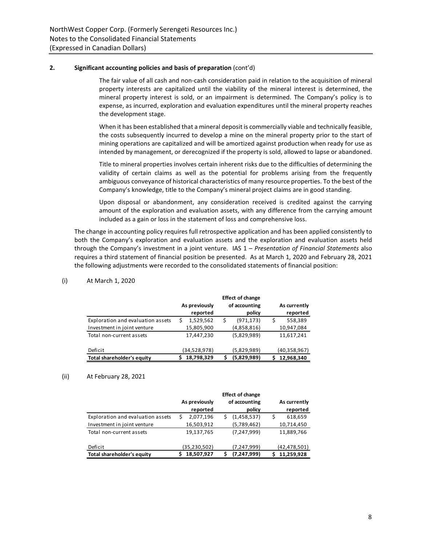The fair value of all cash and non-cash consideration paid in relation to the acquisition of mineral property interests are capitalized until the viability of the mineral interest is determined, the mineral property interest is sold, or an impairment is determined. The Company's policy is to expense, as incurred, exploration and evaluation expenditures until the mineral property reaches the development stage.

When it has been established that a mineral deposit is commercially viable and technically feasible, the costs subsequently incurred to develop a mine on the mineral property prior to the start of mining operations are capitalized and will be amortized against production when ready for use as intended by management, or derecognized if the property is sold, allowed to lapse or abandoned.

Title to mineral properties involves certain inherent risks due to the difficulties of determining the validity of certain claims as well as the potential for problems arising from the frequently ambiguous conveyance of historical characteristics of many resource properties. To the best of the Company's knowledge, title to the Company's mineral project claims are in good standing.

Upon disposal or abandonment, any consideration received is credited against the carrying amount of the exploration and evaluation assets, with any difference from the carrying amount included as a gain or loss in the statement of loss and comprehensive loss.

The change in accounting policy requires full retrospective application and has been applied consistently to both the Company's exploration and evaluation assets and the exploration and evaluation assets held through the Company's investment in a joint venture. IAS 1 – *Presentation of Financial Statements* also requires a third statement of financial position be presented. As at March 1, 2020 and February 28, 2021 the following adjustments were recorded to the consolidated statements of financial position:

|                                   | <b>Effect of change</b> |                 |               |  |  |  |
|-----------------------------------|-------------------------|-----------------|---------------|--|--|--|
|                                   | As previously           | of accounting   | As currently  |  |  |  |
|                                   | reported                | policy          | reported      |  |  |  |
| Exploration and evaluation assets | 1,529,562               | (971, 173)<br>S | 558,389<br>\$ |  |  |  |
| Investment in joint venture       | 15,805,900              | (4,858,816)     | 10,947,084    |  |  |  |
| Total non-current assets          | 17,447,230              | (5,829,989)     | 11,617,241    |  |  |  |
| Deficit                           | (34,528,978)            | (5,829,989)     | (40,358,967)  |  |  |  |
| Total shareholder's equity        | 18,798,329              | (5,829,989)     | 12,968,340    |  |  |  |

(i) At March 1, 2020

## (ii) At February 28, 2021

|                                   | As previously | of accounting | As currently   |
|-----------------------------------|---------------|---------------|----------------|
|                                   | reported      | policy        | reported       |
| Exploration and evaluation assets | 2,077,196     | (1,458,537)   | 618,659        |
| Investment in joint venture       | 16,503,912    | (5,789,462)   | 10,714,450     |
| Total non-current assets          | 19,137,765    | (7,247,999)   | 11,889,766     |
|                                   |               |               |                |
| Deficit                           | (35,230,502)  | (7, 247, 999) | (42, 478, 501) |
| Total shareholder's equity        | 18,507,927    | (7, 247, 999) | 11,259,928     |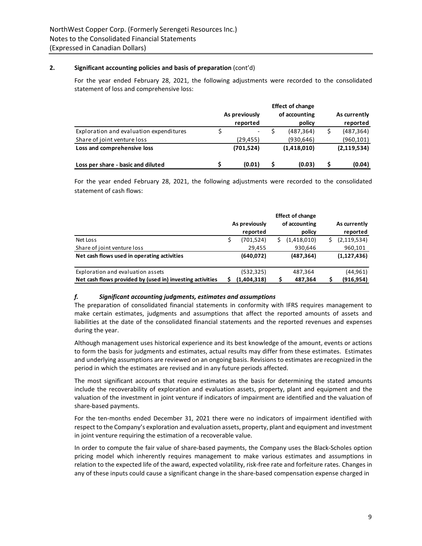For the year ended February 28, 2021, the following adjustments were recorded to the consolidated statement of loss and comprehensive loss:

|                                         | <b>Effect of change</b> |                          |               |             |  |               |  |
|-----------------------------------------|-------------------------|--------------------------|---------------|-------------|--|---------------|--|
|                                         | As previously           |                          | of accounting |             |  | As currently  |  |
|                                         |                         | reported                 |               | policy      |  | reported      |  |
| Exploration and evaluation expenditures |                         | $\overline{\phantom{a}}$ |               | (487, 364)  |  | (487, 364)    |  |
| Share of joint venture loss             |                         | (29, 455)                |               | (930,646)   |  | (960, 101)    |  |
| Loss and comprehensive loss             |                         | (701, 524)               |               | (1,418,010) |  | (2, 119, 534) |  |
| Loss per share - basic and diluted      |                         | (0.01)                   |               | (0.03)      |  | (0.04)        |  |

For the year ended February 28, 2021, the following adjustments were recorded to the consolidated statement of cash flows:

|                                                           |               |             |               | <b>Effect of change</b> |               |
|-----------------------------------------------------------|---------------|-------------|---------------|-------------------------|---------------|
|                                                           | As previously |             | of accounting |                         | As currently  |
|                                                           |               | reported    |               | policy                  | reported      |
| Net Loss                                                  |               | (701,524)   |               | (1,418,010)             | (2, 119, 534) |
| Share of joint venture loss                               |               | 29.455      |               | 930,646                 | 960,101       |
| Net cash flows used in operating activities               |               | (640, 072)  |               | (487, 364)              | (1, 127, 436) |
| Exploration and evaluation assets                         |               | (532, 325)  |               | 487,364                 | (44, 961)     |
| Net cash flows provided by (used in) investing activities |               | (1,404,318) | S             | 487.364                 | (916, 954)    |

## *f. Significant accounting judgments, estimates and assumptions*

The preparation of consolidated financial statements in conformity with IFRS requires management to make certain estimates, judgments and assumptions that affect the reported amounts of assets and liabilities at the date of the consolidated financial statements and the reported revenues and expenses during the year.

Although management uses historical experience and its best knowledge of the amount, events or actions to form the basis for judgments and estimates, actual results may differ from these estimates. Estimates and underlying assumptions are reviewed on an ongoing basis. Revisions to estimates are recognized in the period in which the estimates are revised and in any future periods affected.

The most significant accounts that require estimates as the basis for determining the stated amounts include the recoverability of exploration and evaluation assets, property, plant and equipment and the valuation of the investment in joint venture if indicators of impairment are identified and the valuation of share-based payments.

For the ten-months ended December 31, 2021 there were no indicators of impairment identified with respect to the Company's exploration and evaluation assets, property, plant and equipment and investment in joint venture requiring the estimation of a recoverable value.

In order to compute the fair value of share-based payments, the Company uses the Black-Scholes option pricing model which inherently requires management to make various estimates and assumptions in relation to the expected life of the award, expected volatility, risk-free rate and forfeiture rates. Changes in any of these inputs could cause a significant change in the share-based compensation expense charged in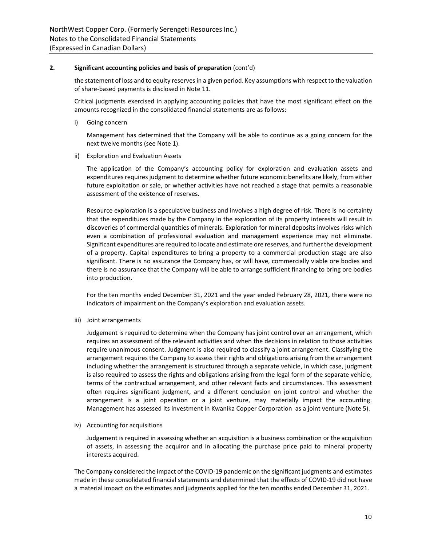the statement of loss and to equity reserves in a given period. Key assumptions with respect to the valuation of share-based payments is disclosed in Note 11.

Critical judgments exercised in applying accounting policies that have the most significant effect on the amounts recognized in the consolidated financial statements are as follows:

i) Going concern

Management has determined that the Company will be able to continue as a going concern for the next twelve months (see Note 1).

ii) Exploration and Evaluation Assets

The application of the Company's accounting policy for exploration and evaluation assets and expenditures requires judgment to determine whether future economic benefits are likely, from either future exploitation or sale, or whether activities have not reached a stage that permits a reasonable assessment of the existence of reserves.

Resource exploration is a speculative business and involves a high degree of risk. There is no certainty that the expenditures made by the Company in the exploration of its property interests will result in discoveries of commercial quantities of minerals. Exploration for mineral deposits involves risks which even a combination of professional evaluation and management experience may not eliminate. Significant expenditures are required to locate and estimate ore reserves, and further the development of a property. Capital expenditures to bring a property to a commercial production stage are also significant. There is no assurance the Company has, or will have, commercially viable ore bodies and there is no assurance that the Company will be able to arrange sufficient financing to bring ore bodies into production.

For the ten months ended December 31, 2021 and the year ended February 28, 2021, there were no indicators of impairment on the Company's exploration and evaluation assets.

iii) Joint arrangements

Judgement is required to determine when the Company has joint control over an arrangement, which requires an assessment of the relevant activities and when the decisions in relation to those activities require unanimous consent. Judgment is also required to classify a joint arrangement. Classifying the arrangement requires the Company to assess their rights and obligations arising from the arrangement including whether the arrangement is structured through a separate vehicle, in which case, judgment is also required to assess the rights and obligations arising from the legal form of the separate vehicle, terms of the contractual arrangement, and other relevant facts and circumstances. This assessment often requires significant judgment, and a different conclusion on joint control and whether the arrangement is a joint operation or a joint venture, may materially impact the accounting. Management has assessed its investment in Kwanika Copper Corporation as a joint venture (Note 5).

iv) Accounting for acquisitions

Judgement is required in assessing whether an acquisition is a business combination or the acquisition of assets, in assessing the acquiror and in allocating the purchase price paid to mineral property interests acquired.

The Company considered the impact of the COVID-19 pandemic on the significant judgments and estimates made in these consolidated financial statements and determined that the effects of COVID-19 did not have a material impact on the estimates and judgments applied for the ten months ended December 31, 2021.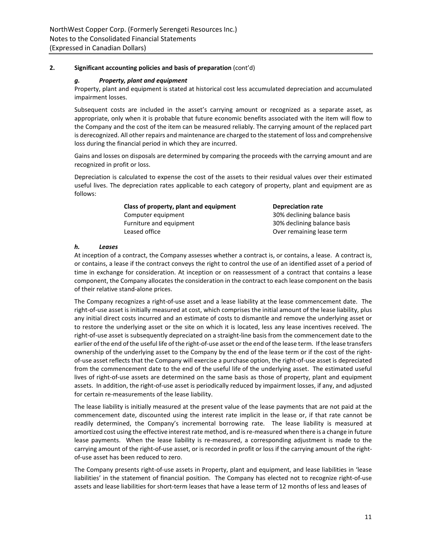## *g. Property, plant and equipment*

Property, plant and equipment is stated at historical cost less accumulated depreciation and accumulated impairment losses.

Subsequent costs are included in the asset's carrying amount or recognized as a separate asset, as appropriate, only when it is probable that future economic benefits associated with the item will flow to the Company and the cost of the item can be measured reliably. The carrying amount of the replaced part is derecognized. All other repairs and maintenance are charged to the statement of loss and comprehensive loss during the financial period in which they are incurred.

Gains and losses on disposals are determined by comparing the proceeds with the carrying amount and are recognized in profit or loss.

Depreciation is calculated to expense the cost of the assets to their residual values over their estimated useful lives. The depreciation rates applicable to each category of property, plant and equipment are as follows:

| <b>Class of property, plant and equipment</b> | Depreciation rate           |
|-----------------------------------------------|-----------------------------|
| Computer equipment                            | 30% declining balance basis |
| Furniture and equipment                       | 30% declining balance basis |
| Leased office                                 | Over remaining lease term   |

## *h. Leases*

At inception of a contract, the Company assesses whether a contract is, or contains, a lease. A contract is, or contains, a lease if the contract conveys the right to control the use of an identified asset of a period of time in exchange for consideration. At inception or on reassessment of a contract that contains a lease component, the Company allocates the consideration in the contract to each lease component on the basis of their relative stand-alone prices.

The Company recognizes a right-of-use asset and a lease liability at the lease commencement date. The right-of-use asset is initially measured at cost, which comprises the initial amount of the lease liability, plus any initial direct costs incurred and an estimate of costs to dismantle and remove the underlying asset or to restore the underlying asset or the site on which it is located, less any lease incentives received. The right-of-use asset is subsequently depreciated on a straight-line basis from the commencement date to the earlier of the end of the useful life of the right-of-use asset or the end of the lease term. If the lease transfers ownership of the underlying asset to the Company by the end of the lease term or if the cost of the rightof-use asset reflects that the Company will exercise a purchase option, the right-of-use asset is depreciated from the commencement date to the end of the useful life of the underlying asset. The estimated useful lives of right-of-use assets are determined on the same basis as those of property, plant and equipment assets. In addition, the right-of-use asset is periodically reduced by impairment losses, if any, and adjusted for certain re-measurements of the lease liability.

The lease liability is initially measured at the present value of the lease payments that are not paid at the commencement date, discounted using the interest rate implicit in the lease or, if that rate cannot be readily determined, the Company's incremental borrowing rate. The lease liability is measured at amortized cost using the effective interest rate method, and is re-measured when there is a change in future lease payments. When the lease liability is re-measured, a corresponding adjustment is made to the carrying amount of the right-of-use asset, or is recorded in profit or loss if the carrying amount of the rightof-use asset has been reduced to zero.

The Company presents right-of-use assets in Property, plant and equipment, and lease liabilities in 'lease liabilities' in the statement of financial position. The Company has elected not to recognize right-of-use assets and lease liabilities for short-term leases that have a lease term of 12 months of less and leases of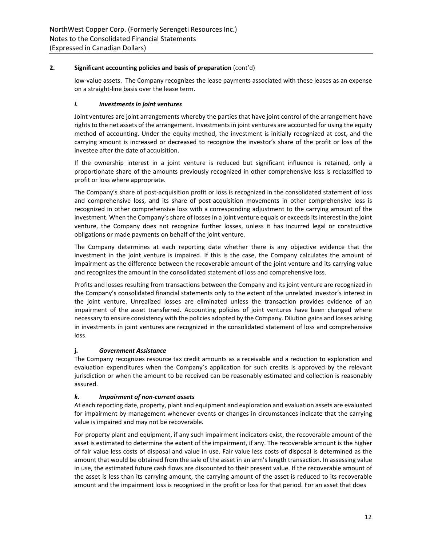low-value assets. The Company recognizes the lease payments associated with these leases as an expense on a straight-line basis over the lease term.

## *i. Investments in joint ventures*

Joint ventures are joint arrangements whereby the parties that have joint control of the arrangement have rights to the net assets of the arrangement. Investments in joint ventures are accounted for using the equity method of accounting. Under the equity method, the investment is initially recognized at cost, and the carrying amount is increased or decreased to recognize the investor's share of the profit or loss of the investee after the date of acquisition.

If the ownership interest in a joint venture is reduced but significant influence is retained, only a proportionate share of the amounts previously recognized in other comprehensive loss is reclassified to profit or loss where appropriate.

The Company's share of post-acquisition profit or loss is recognized in the consolidated statement of loss and comprehensive loss, and its share of post-acquisition movements in other comprehensive loss is recognized in other comprehensive loss with a corresponding adjustment to the carrying amount of the investment. When the Company's share of losses in a joint venture equals or exceeds its interest in the joint venture, the Company does not recognize further losses, unless it has incurred legal or constructive obligations or made payments on behalf of the joint venture.

The Company determines at each reporting date whether there is any objective evidence that the investment in the joint venture is impaired. If this is the case, the Company calculates the amount of impairment as the difference between the recoverable amount of the joint venture and its carrying value and recognizes the amount in the consolidated statement of loss and comprehensive loss.

Profits and losses resulting from transactions between the Company and its joint venture are recognized in the Company's consolidated financial statements only to the extent of the unrelated investor's interest in the joint venture. Unrealized losses are eliminated unless the transaction provides evidence of an impairment of the asset transferred. Accounting policies of joint ventures have been changed where necessary to ensure consistency with the policies adopted by the Company. Dilution gains and losses arising in investments in joint ventures are recognized in the consolidated statement of loss and comprehensive loss.

## **j.** *Government Assistance*

The Company recognizes resource tax credit amounts as a receivable and a reduction to exploration and evaluation expenditures when the Company's application for such credits is approved by the relevant jurisdiction or when the amount to be received can be reasonably estimated and collection is reasonably assured.

## *k. Impairment of non-current assets*

At each reporting date, property, plant and equipment and exploration and evaluation assets are evaluated for impairment by management whenever events or changes in circumstances indicate that the carrying value is impaired and may not be recoverable.

For property plant and equipment, if any such impairment indicators exist, the recoverable amount of the asset is estimated to determine the extent of the impairment, if any. The recoverable amount is the higher of fair value less costs of disposal and value in use. Fair value less costs of disposal is determined as the amount that would be obtained from the sale of the asset in an arm's length transaction. In assessing value in use, the estimated future cash flows are discounted to their present value. If the recoverable amount of the asset is less than its carrying amount, the carrying amount of the asset is reduced to its recoverable amount and the impairment loss is recognized in the profit or loss for that period. For an asset that does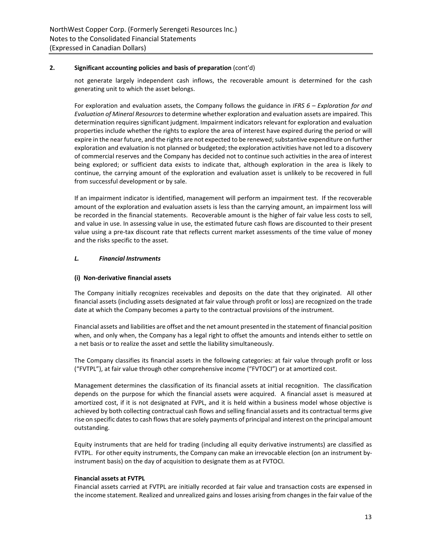not generate largely independent cash inflows, the recoverable amount is determined for the cash generating unit to which the asset belongs.

For exploration and evaluation assets, the Company follows the guidance in *IFRS 6 – Exploration for and Evaluation of Mineral Resources*to determine whether exploration and evaluation assets are impaired. This determination requires significant judgment. Impairment indicators relevant for exploration and evaluation properties include whether the rights to explore the area of interest have expired during the period or will expire in the near future, and the rights are not expected to be renewed; substantive expenditure on further exploration and evaluation is not planned or budgeted; the exploration activities have not led to a discovery of commercial reserves and the Company has decided not to continue such activities in the area of interest being explored; or sufficient data exists to indicate that, although exploration in the area is likely to continue, the carrying amount of the exploration and evaluation asset is unlikely to be recovered in full from successful development or by sale.

If an impairment indicator is identified, management will perform an impairment test. If the recoverable amount of the exploration and evaluation assets is less than the carrying amount, an impairment loss will be recorded in the financial statements. Recoverable amount is the higher of fair value less costs to sell, and value in use. In assessing value in use, the estimated future cash flows are discounted to their present value using a pre-tax discount rate that reflects current market assessments of the time value of money and the risks specific to the asset.

## *L. Financial Instruments*

## **(i) Non-derivative financial assets**

The Company initially recognizes receivables and deposits on the date that they originated. All other financial assets (including assets designated at fair value through profit or loss) are recognized on the trade date at which the Company becomes a party to the contractual provisions of the instrument.

Financial assets and liabilities are offset and the net amount presented in the statement of financial position when, and only when, the Company has a legal right to offset the amounts and intends either to settle on a net basis or to realize the asset and settle the liability simultaneously.

The Company classifies its financial assets in the following categories: at fair value through profit or loss ("FVTPL"), at fair value through other comprehensive income ("FVTOCI") or at amortized cost.

Management determines the classification of its financial assets at initial recognition. The classification depends on the purpose for which the financial assets were acquired. A financial asset is measured at amortized cost, if it is not designated at FVPL, and it is held within a business model whose objective is achieved by both collecting contractual cash flows and selling financial assets and its contractual terms give rise on specific dates to cash flows that are solely payments of principal and interest on the principal amount outstanding.

Equity instruments that are held for trading (including all equity derivative instruments) are classified as FVTPL. For other equity instruments, the Company can make an irrevocable election (on an instrument byinstrument basis) on the day of acquisition to designate them as at FVTOCI.

## **Financial assets at FVTPL**

Financial assets carried at FVTPL are initially recorded at fair value and transaction costs are expensed in the income statement. Realized and unrealized gains and losses arising from changes in the fair value of the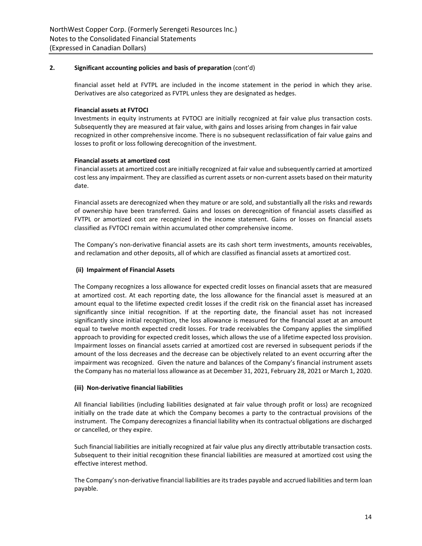financial asset held at FVTPL are included in the income statement in the period in which they arise. Derivatives are also categorized as FVTPL unless they are designated as hedges.

## **Financial assets at FVTOCI**

Investments in equity instruments at FVTOCI are initially recognized at fair value plus transaction costs. Subsequently they are measured at fair value, with gains and losses arising from changes in fair value recognized in other comprehensive income. There is no subsequent reclassification of fair value gains and losses to profit or loss following derecognition of the investment.

## **Financial assets at amortized cost**

Financial assets at amortized cost are initially recognized at fair value and subsequently carried at amortized cost less any impairment. They are classified as current assets or non-current assets based on their maturity date.

Financial assets are derecognized when they mature or are sold, and substantially all the risks and rewards of ownership have been transferred. Gains and losses on derecognition of financial assets classified as FVTPL or amortized cost are recognized in the income statement. Gains or losses on financial assets classified as FVTOCI remain within accumulated other comprehensive income.

The Company's non-derivative financial assets are its cash short term investments, amounts receivables, and reclamation and other deposits, all of which are classified as financial assets at amortized cost.

## **(ii) Impairment of Financial Assets**

The Company recognizes a loss allowance for expected credit losses on financial assets that are measured at amortized cost. At each reporting date, the loss allowance for the financial asset is measured at an amount equal to the lifetime expected credit losses if the credit risk on the financial asset has increased significantly since initial recognition. If at the reporting date, the financial asset has not increased significantly since initial recognition, the loss allowance is measured for the financial asset at an amount equal to twelve month expected credit losses. For trade receivables the Company applies the simplified approach to providing for expected credit losses, which allows the use of a lifetime expected loss provision. Impairment losses on financial assets carried at amortized cost are reversed in subsequent periods if the amount of the loss decreases and the decrease can be objectively related to an event occurring after the impairment was recognized. Given the nature and balances of the Company's financial instrument assets the Company has no material loss allowance as at December 31, 2021, February 28, 2021 or March 1, 2020.

## **(iii) Non-derivative financial liabilities**

All financial liabilities (including liabilities designated at fair value through profit or loss) are recognized initially on the trade date at which the Company becomes a party to the contractual provisions of the instrument. The Company derecognizes a financial liability when its contractual obligations are discharged or cancelled, or they expire.

Such financial liabilities are initially recognized at fair value plus any directly attributable transaction costs. Subsequent to their initial recognition these financial liabilities are measured at amortized cost using the effective interest method.

The Company's non-derivative financial liabilities are its trades payable and accrued liabilities and term loan payable.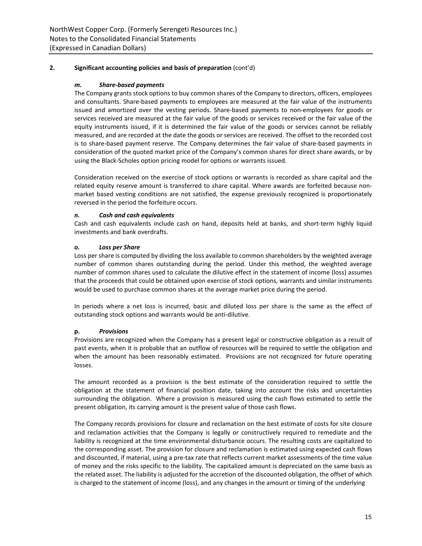## *m. Share-based payments*

The Company grants stock options to buy common shares of the Company to directors, officers, employees and consultants. Share-based payments to employees are measured at the fair value of the instruments issued and amortized over the vesting periods. Share-based payments to non-employees for goods or services received are measured at the fair value of the goods or services received or the fair value of the equity instruments issued, if it is determined the fair value of the goods or services cannot be reliably measured, and are recorded at the date the goods or services are received. The offset to the recorded cost is to share-based payment reserve. The Company determines the fair value of share-based payments in consideration of the quoted market price of the Company's common shares for direct share awards, or by using the Black-Scholes option pricing model for options or warrants issued.

Consideration received on the exercise of stock options or warrants is recorded as share capital and the related equity reserve amount is transferred to share capital. Where awards are forfeited because nonmarket based vesting conditions are not satisfied, the expense previously recognized is proportionately reversed in the period the forfeiture occurs.

## *n. Cash and cash equivalents*

Cash and cash equivalents include cash on hand, deposits held at banks, and short-term highly liquid investments and bank overdrafts.

## *o. Loss per Share*

Loss per share is computed by dividing the loss available to common shareholders by the weighted average number of common shares outstanding during the period. Under this method, the weighted average number of common shares used to calculate the dilutive effect in the statement of income (loss) assumes that the proceeds that could be obtained upon exercise of stock options, warrants and similar instruments would be used to purchase common shares at the average market price during the period.

In periods where a net loss is incurred, basic and diluted loss per share is the same as the effect of outstanding stock options and warrants would be anti-dilutive.

## **p.** *Provisions*

Provisions are recognized when the Company has a present legal or constructive obligation as a result of past events, when it is probable that an outflow of resources will be required to settle the obligation and when the amount has been reasonably estimated. Provisions are not recognized for future operating losses.

The amount recorded as a provision is the best estimate of the consideration required to settle the obligation at the statement of financial position date, taking into account the risks and uncertainties surrounding the obligation. Where a provision is measured using the cash flows estimated to settle the present obligation, its carrying amount is the present value of those cash flows.

The Company records provisions for closure and reclamation on the best estimate of costs for site closure and reclamation activities that the Company is legally or constructively required to remediate and the liability is recognized at the time environmental disturbance occurs. The resulting costs are capitalized to the corresponding asset. The provision for closure and reclamation is estimated using expected cash flows and discounted, if material, using a pre-tax rate that reflects current market assessments of the time value of money and the risks specific to the liability. The capitalized amount is depreciated on the same basis as the related asset. The liability is adjusted for the accretion of the discounted obligation, the offset of which is charged to the statement of income (loss), and any changes in the amount or timing of the underlying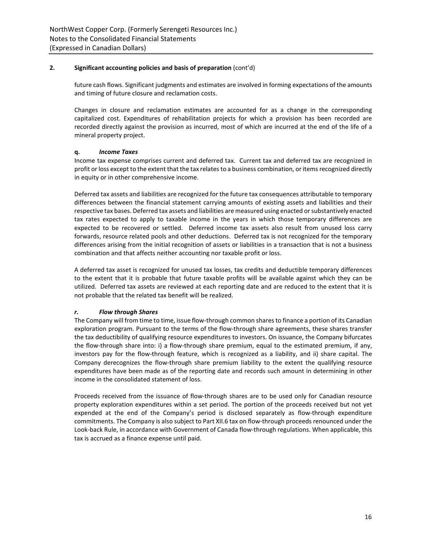future cash flows. Significant judgments and estimates are involved in forming expectations of the amounts and timing of future closure and reclamation costs.

Changes in closure and reclamation estimates are accounted for as a change in the corresponding capitalized cost. Expenditures of rehabilitation projects for which a provision has been recorded are recorded directly against the provision as incurred, most of which are incurred at the end of the life of a mineral property project.

## **q.** *Income Taxes*

Income tax expense comprises current and deferred tax. Current tax and deferred tax are recognized in profit or loss except to the extent that the tax relates to a business combination, or items recognized directly in equity or in other comprehensive income.

Deferred tax assets and liabilities are recognized for the future tax consequences attributable to temporary differences between the financial statement carrying amounts of existing assets and liabilities and their respective tax bases. Deferred tax assets and liabilities are measured using enacted or substantively enacted tax rates expected to apply to taxable income in the years in which those temporary differences are expected to be recovered or settled. Deferred income tax assets also result from unused loss carry forwards, resource related pools and other deductions. Deferred tax is not recognized for the temporary differences arising from the initial recognition of assets or liabilities in a transaction that is not a business combination and that affects neither accounting nor taxable profit or loss.

A deferred tax asset is recognized for unused tax losses, tax credits and deductible temporary differences to the extent that it is probable that future taxable profits will be available against which they can be utilized. Deferred tax assets are reviewed at each reporting date and are reduced to the extent that it is not probable that the related tax benefit will be realized.

## *r. Flow through Shares*

The Company will from time to time, issue flow-through common shares to finance a portion of its Canadian exploration program. Pursuant to the terms of the flow-through share agreements, these shares transfer the tax deductibility of qualifying resource expenditures to investors. On issuance, the Company bifurcates the flow-through share into: i) a flow-through share premium, equal to the estimated premium, if any, investors pay for the flow-through feature, which is recognized as a liability, and ii) share capital. The Company derecognizes the flow-through share premium liability to the extent the qualifying resource expenditures have been made as of the reporting date and records such amount in determining in other income in the consolidated statement of loss.

Proceeds received from the issuance of flow-through shares are to be used only for Canadian resource property exploration expenditures within a set period. The portion of the proceeds received but not yet expended at the end of the Company's period is disclosed separately as flow-through expenditure commitments. The Company is also subject to Part XII.6 tax on flow-through proceeds renounced under the Look-back Rule, in accordance with Government of Canada flow-through regulations. When applicable, this tax is accrued as a finance expense until paid.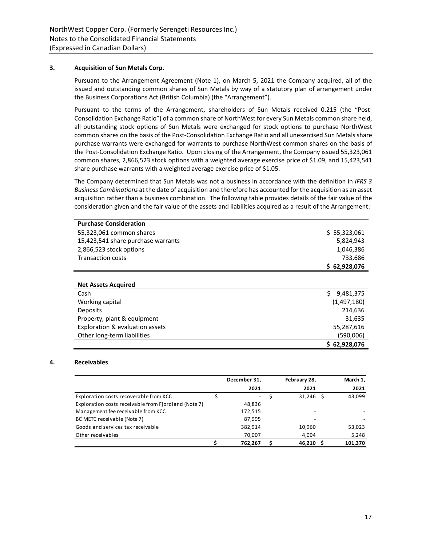## **3. Acquisition of Sun Metals Corp.**

Pursuant to the Arrangement Agreement (Note 1), on March 5, 2021 the Company acquired, all of the issued and outstanding common shares of Sun Metals by way of a statutory plan of arrangement under the Business Corporations Act (British Columbia) (the "Arrangement").

Pursuant to the terms of the Arrangement, shareholders of Sun Metals received 0.215 (the "Post-Consolidation Exchange Ratio") of a common share of NorthWest for every Sun Metals common share held, all outstanding stock options of Sun Metals were exchanged for stock options to purchase NorthWest common shares on the basis of the Post-Consolidation Exchange Ratio and all unexercised Sun Metals share purchase warrants were exchanged for warrants to purchase NorthWest common shares on the basis of the Post-Consolidation Exchange Ratio. Upon closing of the Arrangement, the Company issued 55,323,061 common shares, 2,866,523 stock options with a weighted average exercise price of \$1.09, and 15,423,541 share purchase warrants with a weighted average exercise price of \$1.05.

The Company determined that Sun Metals was not a business in accordance with the definition in *IFRS 3 Business Combinations* at the date of acquisition and therefore has accounted for the acquisition as an asset acquisition rather than a business combination. The following table provides details of the fair value of the consideration given and the fair value of the assets and liabilities acquired as a result of the Arrangement:

| <b>Purchase Consideration</b>      |                 |
|------------------------------------|-----------------|
| 55,323,061 common shares           | \$55,323,061    |
| 15,423,541 share purchase warrants | 5,824,943       |
| 2,866,523 stock options            | 1,046,386       |
| <b>Transaction costs</b>           | 733,686         |
|                                    | \$62,928,076    |
|                                    |                 |
| <b>Net Assets Acquired</b>         |                 |
| Cash                               | Ŝ.<br>9,481,375 |
| Working capital                    | (1,497,180)     |
| Deposits                           | 214,636         |
| Property, plant & equipment        | 31,635          |
| Exploration & evaluation assets    | 55,287,616      |
| Other long-term liabilities        | (590,006)       |
|                                    | \$62,928,076    |

## **4. Receivables**

|                                                      | December 31,             | February 28, | March 1, |
|------------------------------------------------------|--------------------------|--------------|----------|
|                                                      | 2021                     | 2021         | 2021     |
| Exploration costs recoverable from KCC               | $\overline{\phantom{a}}$ | 31.246       | 43,099   |
| Exploration costs receivable from Fiordland (Note 7) | 48,836                   |              |          |
| Management fee receivable from KCC                   | 172,515                  |              |          |
| BC METC receivable (Note 7)                          | 87.995                   |              |          |
| Goods and services tax receivable                    | 382,914                  | 10.960       | 53,023   |
| Other receivables                                    | 70,007                   | 4,004        | 5,248    |
|                                                      | 762.267                  | 46,210       | 101,370  |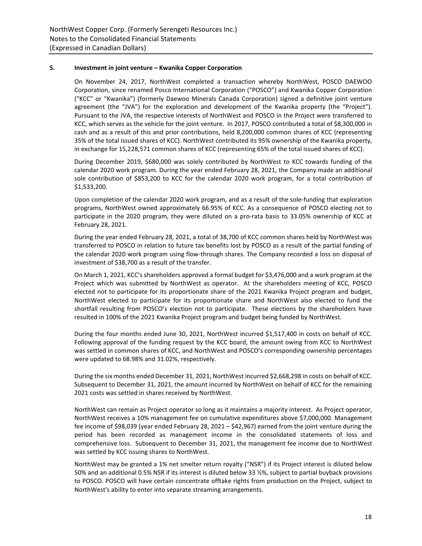## **5. Investment in joint venture – Kwanika Copper Corporation**

On November 24, 2017, NorthWest completed a transaction whereby NorthWest, POSCO DAEWOO Corporation, since renamed Posco International Corporation ("POSCO") and Kwanika Copper Corporation ("KCC" or "Kwanika") (formerly Daewoo Minerals Canada Corporation) signed a definitive joint venture agreement (the "JVA") for the exploration and development of the Kwanika property (the "Project"). Pursuant to the JVA, the respective interests of NorthWest and POSCO in the Project were transferred to KCC, which serves as the vehicle for the joint venture. In 2017, POSCO contributed a total of \$8,300,000 in cash and as a result of this and prior contributions, held 8,200,000 common shares of KCC (representing 35% of the total issued shares of KCC). NorthWest contributed its 95% ownership of the Kwanika property, in exchange for 15,228,571 common shares of KCC (representing 65% of the total issued shares of KCC).

During December 2019, \$680,000 was solely contributed by NorthWest to KCC towards funding of the calendar 2020 work program. During the year ended February 28, 2021, the Company made an additional sole contribution of \$853,200 to KCC for the calendar 2020 work program, for a total contribution of \$1,533,200.

Upon completion of the calendar 2020 work program, and as a result of the sole-funding that exploration programs, NorthWest owned approximately 66.95% of KCC. As a consequence of POSCO electing not to participate in the 2020 program, they were diluted on a pro-rata basis to 33.05% ownership of KCC at February 28, 2021.

During the year ended February 28, 2021, a total of 38,700 of KCC common shares held by NorthWest was transferred to POSCO in relation to future tax benefits lost by POSCO as a result of the partial funding of the calendar 2020 work program using flow-through shares. The Company recorded a loss on disposal of investment of \$38,700 as a result of the transfer.

On March 1, 2021, KCC's shareholders approved a formal budget for \$3,476,000 and a work program at the Project which was submitted by NorthWest as operator. At the shareholders meeting of KCC, POSCO elected not to participate for its proportionate share of the 2021 Kwanika Project program and budget, NorthWest elected to participate for its proportionate share and NorthWest also elected to fund the shortfall resulting from POSCO's election not to participate. These elections by the shareholders have resulted in 100% of the 2021 Kwanika Project program and budget being funded by NorthWest.

During the four months ended June 30, 2021, NorthWest incurred \$1,517,400 in costs on behalf of KCC. Following approval of the funding request by the KCC board, the amount owing from KCC to NorthWest was settled in common shares of KCC, and NorthWest and POSCO's corresponding ownership percentages were updated to 68.98% and 31.02%, respectively.

During the six months ended December 31, 2021, NorthWest incurred \$2,668,298 in costs on behalf of KCC. Subsequent to December 31, 2021, the amount incurred by NorthWest on behalf of KCC for the remaining 2021 costs was settled in shares received by NorthWest.

NorthWest can remain as Project operator so long as it maintains a majority interest. As Project operator, NorthWest receives a 10% management fee on cumulative expenditures above \$7,000,000. Management fee income of \$98,039 (year ended February 28, 2021 – \$42,967) earned from the joint venture during the period has been recorded as management income in the consolidated statements of loss and comprehensive loss. Subsequent to December 31, 2021, the management fee income due to NorthWest was settled by KCC issuing shares to NorthWest.

NorthWest may be granted a 1% net smelter return royalty ("NSR") if its Project interest is diluted below 50% and an additional 0.5% NSR if its interest is diluted below 33 ⅓%, subject to partial buyback provisions to POSCO. POSCO will have certain concentrate offtake rights from production on the Project, subject to NorthWest's ability to enter into separate streaming arrangements.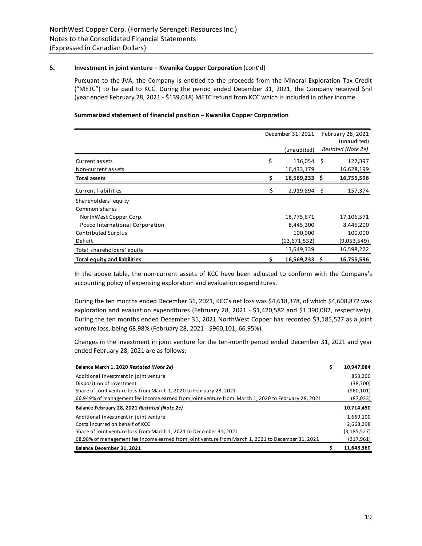## **5. Investment in joint venture – Kwanika Copper Corporation** (cont'd)

Pursuant to the JVA, the Company is entitled to the proceeds from the Mineral Exploration Tax Credit ("METC") to be paid to KCC. During the period ended December 31, 2021, the Company received \$nil (year ended February 28, 2021 - \$139,018) METC refund from KCC which is included in other income.

## **Summarized statement of financial position – Kwanika Copper Corporation**

|                                     |    | December 31, 2021 | February 28, 2021 |                    |  |  |
|-------------------------------------|----|-------------------|-------------------|--------------------|--|--|
|                                     |    |                   |                   | (unaudited)        |  |  |
|                                     |    | (unaudited)       |                   | Restated (Note 2e) |  |  |
| Current assets                      | \$ | 136,054           | Ŝ.                | 127,397            |  |  |
| Non-current assets                  |    | 16,433,179        |                   | 16,628,199         |  |  |
| <b>Total assets</b>                 | \$ | $16,569,233$ \$   |                   | 16,755,596         |  |  |
| Current liabilities                 | \$ | 2,919,894         | -S                | 157,374            |  |  |
| Shareholders' equity                |    |                   |                   |                    |  |  |
| Common shares                       |    |                   |                   |                    |  |  |
| NorthWest Copper Corp.              |    | 18,775,671        |                   | 17,106,571         |  |  |
| Posco International Corporation     |    | 8,445,200         |                   | 8,445,200          |  |  |
| Contributed Surplus                 |    | 100,000           |                   | 100,000            |  |  |
| Deficit                             |    | (13,671,532)      |                   | (9,053,549)        |  |  |
| Total shareholders' equity          |    | 13,649,339        |                   | 16,598,222         |  |  |
| <b>Total equity and liabilities</b> |    | 16,569,233        | S                 | 16,755,596         |  |  |

In the above table, the non-current assets of KCC have been adjusted to conform with the Company's accounting policy of expensing exploration and evaluation expenditures.

During the ten months ended December 31, 2021, KCC's net loss was \$4,618,378, of which \$4,608,872 was exploration and evaluation expenditures (February 28, 2021 - \$1,420,582 and \$1,390,082, respectively). During the ten months ended December 31, 2021 NorthWest Copper has recorded \$3,185,527 as a joint venture loss, being 68.98% (February 28, 2021 - \$960,101, 66.95%).

Changes in the investment in joint venture for the ten-month period ended December 31, 2021 and year ended February 28, 2021 are as follows:

| Balance March 1, 2020 Restated (Note 2e)                                                           | s | 10,947,084    |
|----------------------------------------------------------------------------------------------------|---|---------------|
| Additional investment in joint venture                                                             |   | 853,200       |
| Disposition of investment                                                                          |   | (38,700)      |
| Share of joint venture loss from March 1, 2020 to February 28, 2021                                |   | (960, 101)    |
| 66.949% of management fee income earned from joint venture from March 1, 2020 to February 28, 2021 |   | (87,033)      |
| Balance February 28, 2021 Restated (Note 2e)                                                       |   | 10,714,450    |
| Additional investment in joint venture                                                             |   | 1.669.100     |
| Costs incurred on behalf of KCC                                                                    |   | 2.668.298     |
| Share of joint venture loss from March 1, 2021 to December 31, 2021                                |   | (3, 185, 527) |
| 68.98% of management fee income earned from joint venture from March 1, 2021 to December 31, 2021  |   | (217, 961)    |
| Balance December 31, 2021                                                                          |   | 11,648,360    |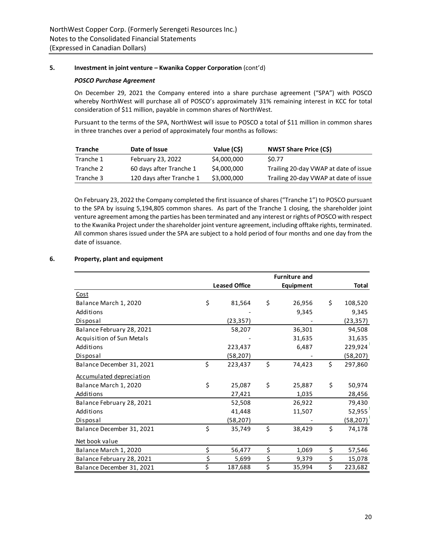## **5. Investment in joint venture – Kwanika Copper Corporation** (cont'd)

## *POSCO Purchase Agreement*

On December 29, 2021 the Company entered into a share purchase agreement ("SPA") with POSCO whereby NorthWest will purchase all of POSCO's approximately 31% remaining interest in KCC for total consideration of \$11 million, payable in common shares of NorthWest.

Pursuant to the terms of the SPA, NorthWest will issue to POSCO a total of \$11 million in common shares in three tranches over a period of approximately four months as follows:

| <b>Tranche</b> | Date of Issue            | Value (C\$) | <b>NWST Share Price (C\$)</b>         |
|----------------|--------------------------|-------------|---------------------------------------|
| Tranche 1      | February 23, 2022        | \$4,000,000 | S0.77                                 |
| Tranche 2      | 60 days after Tranche 1  | \$4,000,000 | Trailing 20-day VWAP at date of issue |
| Tranche 3      | 120 days after Tranche 1 | \$3,000,000 | Trailing 20-day VWAP at date of issue |

On February 23, 2022 the Company completed the first issuance of shares ("Tranche 1") to POSCO pursuant to the SPA by issuing 5,194,805 common shares. As part of the Tranche 1 closing, the shareholder joint venture agreement among the parties has been terminated and any interest or rights of POSCO with respect to the Kwanika Project under the shareholder joint venture agreement, including offtake rights, terminated. All common shares issued under the SPA are subject to a hold period of four months and one day from the date of issuance.

## **6. Property, plant and equipment**

|                           |                      | <b>Furniture and</b> |    |                        |
|---------------------------|----------------------|----------------------|----|------------------------|
|                           | <b>Leased Office</b> | Equipment            |    | Total                  |
| Cost                      |                      |                      |    |                        |
| Balance March 1, 2020     | \$<br>81,564         | \$<br>26,956         | \$ | 108,520                |
| Additions                 |                      | 9,345                |    | 9,345                  |
| Disposal                  | (23, 357)            |                      |    | (23, 357)              |
| Balance February 28, 2021 | 58,207               | 36,301               |    | 94,508                 |
| Acquisition of Sun Metals |                      | 31,635               |    | 31,635                 |
| Additions                 | 223,437              | 6,487                |    | 229,924                |
| Disposal                  | (58,207)             |                      |    | (58, 207)              |
| Balance December 31, 2021 | \$<br>223,437        | \$<br>74,423         | \$ | 297,860                |
| Accumulated depreciation  |                      |                      |    |                        |
| Balance March 1, 2020     | \$<br>25,087         | \$<br>25,887         | Ś  | 50,974                 |
| Additions                 | 27,421               | 1,035                |    | 28,456                 |
| Balance February 28, 2021 | 52,508               | 26,922               |    | 79,430                 |
| Additions                 | 41,448               | 11,507               |    | 52,955                 |
| Disposal                  | (58,207)             |                      |    | $(58, 207)^{^{\circ}}$ |
| Balance December 31, 2021 | \$<br>35,749         | \$<br>38,429         | \$ | 74,178                 |
| Net book value            |                      |                      |    |                        |
| Balance March 1, 2020     | \$<br>56,477         | \$<br>1,069          | \$ | 57,546                 |
| Balance February 28, 2021 | \$<br>5,699          | \$<br>9,379          | \$ | 15,078                 |
| Balance December 31, 2021 | \$<br>187,688        | \$<br>35,994         | \$ | 223,682                |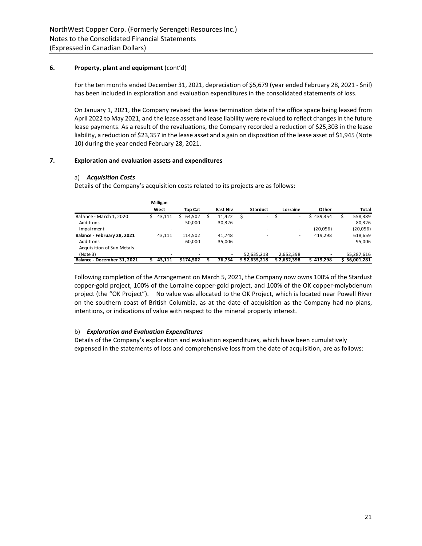## **6. Property, plant and equipment** (cont'd)

For the ten months ended December 31, 2021, depreciation of \$5,679 (year ended February 28, 2021 - \$nil) has been included in exploration and evaluation expenditures in the consolidated statements of loss.

On January 1, 2021, the Company revised the lease termination date of the office space being leased from April 2022 to May 2021, and the lease asset and lease liability were revalued to reflect changes in the future lease payments. As a result of the revaluations, the Company recorded a reduction of \$25,303 in the lease liability, a reduction of \$23,357 in the lease asset and a gain on disposition of the lease asset of \$1,945 (Note 10) during the year ended February 28, 2021.

## **7. Exploration and evaluation assets and expenditures**

## a) *Acquisition Costs*

Details of the Company's acquisition costs related to its projects are as follows:

|                                  | Milligan |                          |                 |    |                 |                          |                          |            |
|----------------------------------|----------|--------------------------|-----------------|----|-----------------|--------------------------|--------------------------|------------|
|                                  | West     | Top Cat                  | <b>East Niv</b> |    | <b>Stardust</b> | Lorraine                 | Other                    | Total      |
| Balance - March 1, 2020          | 43,111   | 64.502                   | 11,422          | .s | ۰               | $\overline{\phantom{a}}$ | \$439,354                | 558,389    |
| Additions                        |          | 50.000                   | 30.326          |    | ۰               | $\overline{\phantom{a}}$ | $\overline{\phantom{a}}$ | 80,326     |
| Impairment                       |          | $\overline{\phantom{a}}$ | ۰               |    | ۰               | ۰                        | (20,056)                 | (20,056)   |
| Balance - February 28, 2021      | 43.111   | 114.502                  | 41.748          |    | ۰               |                          | 419.298                  | 618,659    |
| Additions                        | ۰        | 60.000                   | 35.006          |    | ۰               | $\overline{\phantom{a}}$ |                          | 95,006     |
| <b>Acquisition of Sun Metals</b> |          |                          |                 |    |                 |                          |                          |            |
| (Note 3)                         |          |                          | ۰               |    | 52.635.218      | 2,652,398                |                          | 55,287,616 |
| Balance - December 31, 2021      | 43.111   | \$174.502                | 76.754          |    | \$52.635.218    | \$ 2.652.398             | 419.298                  | 56,001,281 |

Following completion of the Arrangement on March 5, 2021, the Company now owns 100% of the Stardust copper-gold project, 100% of the Lorraine copper-gold project, and 100% of the OK copper-molybdenum project (the "OK Project"). No value was allocated to the OK Project, which is located near Powell River on the southern coast of British Columbia, as at the date of acquisition as the Company had no plans, intentions, or indications of value with respect to the mineral property interest.

## b) *Exploration and Evaluation Expenditures*

Details of the Company's exploration and evaluation expenditures, which have been cumulatively expensed in the statements of loss and comprehensive loss from the date of acquisition, are as follows: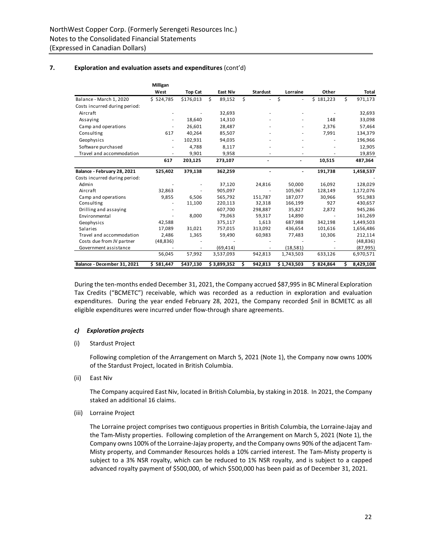|                               | Milligan  |                |              |     |                          |             |           |    |           |
|-------------------------------|-----------|----------------|--------------|-----|--------------------------|-------------|-----------|----|-----------|
|                               | West      | <b>Top Cat</b> | East Niv     |     | Stardust                 | Lorraine    | Other     |    | Total     |
| Balance - March 1, 2020       | \$524,785 | \$176,013      | Ś.<br>89,152 | \$  |                          | \$          | \$181,223 | Ś. | 971,173   |
| Costs incurred during period: |           |                |              |     |                          |             |           |    |           |
| Aircraft                      |           |                | 32,693       |     |                          |             |           |    | 32,693    |
| Assaying                      |           | 18,640         | 14,310       |     |                          |             | 148       |    | 33,098    |
| Camp and operations           |           | 26,601         | 28,487       |     |                          |             | 2,376     |    | 57,464    |
| Consulting                    | 617       | 40,264         | 85,507       |     |                          |             | 7,991     |    | 134,379   |
| Geophysics                    |           | 102,931        | 94,035       |     |                          |             |           |    | 196,966   |
| Software purchased            |           | 4.788          | 8,117        |     |                          |             |           |    | 12,905    |
| Travel and accommodation      |           | 9,901          | 9,958        |     |                          |             |           |    | 19,859    |
|                               | 617       | 203,125        | 273,107      |     |                          | -           | 10,515    |    | 487,364   |
| Balance - February 28, 2021   | 525,402   | 379,138        | 362,259      |     |                          |             | 191,738   |    | 1,458,537 |
| Costs incurred during period: |           |                |              |     |                          |             |           |    |           |
| Admin                         |           |                | 37,120       |     | 24,816                   | 50,000      | 16.092    |    | 128,029   |
| Aircraft                      | 32,863    |                | 905,097      |     | $\overline{\phantom{a}}$ | 105,967     | 128,149   |    | 1,172,076 |
| Camp and operations           | 9,855     | 6.506          | 565,792      |     | 151,787                  | 187,077     | 30,966    |    | 951,983   |
| Consulting                    |           | 11,100         | 220,113      |     | 32,318                   | 166,199     | 927       |    | 430,657   |
| Drilling and assaying         |           |                | 607,700      |     | 298,887                  | 35,827      | 2,872     |    | 945,286   |
| Environmental                 |           | 8,000          | 79,063       |     | 59,317                   | 14,890      |           |    | 161,269   |
| Geophysics                    | 42,588    |                | 375,117      |     | 1,613                    | 687,988     | 342,198   |    | 1,449,503 |
| Salaries                      | 17,089    | 31,021         | 757,015      |     | 313,092                  | 436,654     | 101,616   |    | 1,656,486 |
| Travel and accommodation      | 2,486     | 1,365          | 59,490       |     | 60,983                   | 77,483      | 10,306    |    | 212,114   |
| Costs due from JV partner     | (48, 836) |                |              |     |                          |             |           |    | (48, 836) |
| Government assistance         |           |                | (69, 414)    |     |                          | (18, 581)   |           |    | (87, 995) |
|                               | 56,045    | 57,992         | 3,537,093    |     | 942,813                  | 1,743,503   | 633,126   |    | 6,970,571 |
| Balance - December 31, 2021   | \$581,447 | \$437,130      | \$3,899,352  | \$. | 942,813                  | \$1,743,503 | \$824,864 | Ś. | 8,429,108 |

## **7. Exploration and evaluation assets and expenditures** (cont'd)

During the ten-months ended December 31, 2021, the Company accrued \$87,995 in BC Mineral Exploration Tax Credits ("BCMETC") receivable, which was recorded as a reduction in exploration and evaluation expenditures. During the year ended February 28, 2021, the Company recorded \$nil in BCMETC as all eligible expenditures were incurred under flow-through share agreements.

## *c) Exploration projects*

## (i) Stardust Project

Following completion of the Arrangement on March 5, 2021 (Note 1), the Company now owns 100% of the Stardust Project, located in British Columbia.

(ii) East Niv

The Company acquired East Niv, located in British Columbia, by staking in 2018. In 2021, the Company staked an additional 16 claims.

(iii) Lorraine Project

The Lorraine project comprises two contiguous properties in British Columbia, the Lorraine-Jajay and the Tam-Misty properties. Following completion of the Arrangement on March 5, 2021 (Note 1), the Company owns 100% of the Lorraine-Jajay property, and the Company owns 90% of the adjacent Tam-Misty property, and Commander Resources holds a 10% carried interest. The Tam-Misty property is subject to a 3% NSR royalty, which can be reduced to 1% NSR royalty, and is subject to a capped advanced royalty payment of \$500,000, of which \$500,000 has been paid as of December 31, 2021.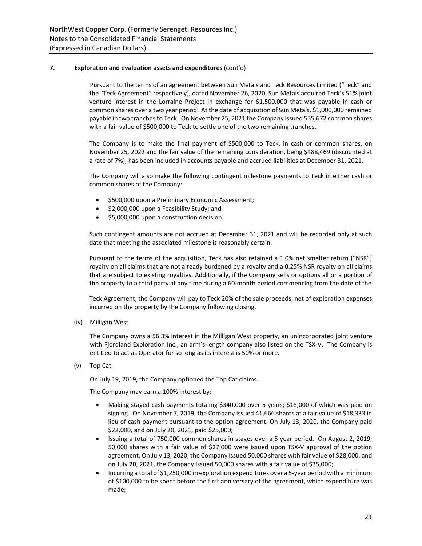## **7. Exploration and evaluation assets and expenditures** (cont'd)

Pursuant to the terms of an agreement between Sun Metals and Teck Resources Limited ("Teck" and the "Teck Agreement" respectively), dated November 26, 2020, Sun Metals acquired Teck's 51% joint venture interest in the Lorraine Project in exchange for \$1,500,000 that was payable in cash or common shares over a two year period. At the date of acquisition of Sun Metals, \$1,000,000 remained payable in two tranches to Teck. On November 25, 2021 the Company issued 555,672 common shares with a fair value of \$500,000 to Teck to settle one of the two remaining tranches.

The Company is to make the final payment of \$500,000 to Teck, in cash or common shares, on November 25, 2022 and the fair value of the remaining consideration, being \$488,469 (discounted at a rate of 7%), has been included in accounts payable and accrued liabilities at December 31, 2021.

The Company will also make the following contingent milestone payments to Teck in either cash or common shares of the Company:

- \$500,000 upon a Preliminary Economic Assessment;
- \$2,000,000 upon a Feasibility Study; and
- \$5,000,000 upon a construction decision.

Such contingent amounts are not accrued at December 31, 2021 and will be recorded only at such date that meeting the associated milestone is reasonably certain.

Pursuant to the terms of the acquisition, Teck has also retained a 1.0% net smelter return ("NSR") royalty on all claims that are not already burdened by a royalty and a 0.25% NSR royalty on all claims that are subject to existing royalties. Additionally, if the Company sells or options all or a portion of the property to a third party at any time during a 60-month period commencing from the date of the

Teck Agreement, the Company will pay to Teck 20% of the sale proceeds, net of exploration expenses incurred on the property by the Company following closing.

(iv) Milligan West

The Company owns a 56.3% interest in the Milligan West property, an unincorporated joint venture with Fjordland Exploration Inc., an arm's-length company also listed on the TSX-V. The Company is entitled to act as Operator for so long as its interest is 50% or more.

(v) Top Cat

On July 19, 2019, the Company optioned the Top Cat claims.

The Company may earn a 100% interest by:

- Making staged cash payments totaling \$340,000 over 5 years; \$18,000 of which was paid on signing. On November 7, 2019, the Company issued 41,666 shares at a fair value of \$18,333 in lieu of cash payment pursuant to the option agreement. On July 13, 2020, the Company paid \$22,000, and on July 20, 2021, paid \$25,000;
- Issuing a total of 750,000 common shares in stages over a 5-year period. On August 2, 2019, 50,000 shares with a fair value of \$27,000 were issued upon TSX-V approval of the option agreement. On July 13, 2020, the Company issued 50,000 shares with fair value of \$28,000, and on July 20, 2021, the Company issued 50,000 shares with a fair value of \$35,000;
- Incurring a total of \$1,250,000 in exploration expenditures over a 5-year period with a minimum of \$100,000 to be spent before the first anniversary of the agreement, which expenditure was made;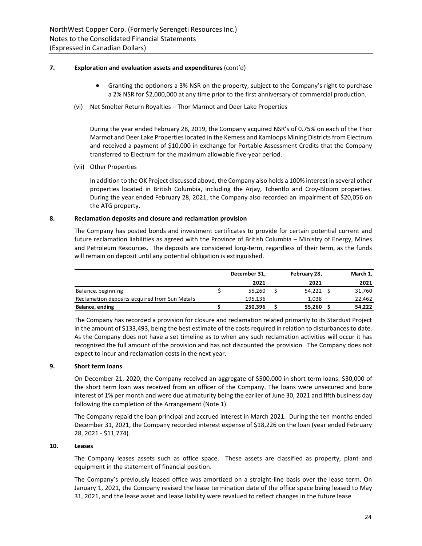## **7. Exploration and evaluation assets and expenditures** (cont'd)

- Granting the optionors a 3% NSR on the property, subject to the Company's right to purchase a 2% NSR for \$2,000,000 at any time prior to the first anniversary of commercial production.
- (vi) Net Smelter Return Royalties Thor Marmot and Deer Lake Properties

During the year ended February 28, 2019, the Company acquired NSR's of 0.75% on each of the Thor Marmot and Deer Lake Properties located in the Kemess and Kamloops Mining Districts from Electrum and received a payment of \$10,000 in exchange for Portable Assessment Credits that the Company transferred to Electrum for the maximum allowable five-year period.

(vii) Other Properties

In addition to the OK Project discussed above, the Company also holds a 100% interest in several other properties located in British Columbia, including the Arjay, Tchentlo and Croy-Bloom properties. During the year ended February 28, 2021, the Company also recorded an impairment of \$20,056 on the ATG property.

## **8. Reclamation deposits and closure and reclamation provision**

The Company has posted bonds and investment certificates to provide for certain potential current and future reclamation liabilities as agreed with the Province of British Columbia – Ministry of Energy, Mines and Petroleum Resources. The deposits are considered long-term, regardless of their term, as the funds will remain on deposit until any potential obligation is extinguished.

|                                               | December 31, | February 28, | March 1, |
|-----------------------------------------------|--------------|--------------|----------|
|                                               | 2021         | 2021         | 2021     |
| Balance, beginning                            | 55.260       | 54,222       | 31,760   |
| Reclamation deposits acquired from Sun Metals | 195.136      | 1.038        | 22.462   |
| Balance, ending                               | 250,396      | 55.260       | 54,222   |

The Company has recorded a provision for closure and reclamation related primarily to its Stardust Project in the amount of \$133,493, being the best estimate of the costs required in relation to disturbances to date. As the Company does not have a set timeline as to when any such reclamation activities will occur it has recognized the full amount of the provision and has not discounted the provision. The Company does not expect to incur and reclamation costs in the next year.

## **9. Short term loans**

On December 21, 2020, the Company received an aggregate of \$500,000 in short term loans. \$30,000 of the short term loan was received from an officer of the Company. The loans were unsecured and bore interest of 1% per month and were due at maturity being the earlier of June 30, 2021 and fifth business day following the completion of the Arrangement (Note 1).

The Company repaid the loan principal and accrued interest in March 2021. During the ten months ended December 31, 2021, the Company recorded interest expense of \$18,226 on the loan (year ended February 28, 2021 - \$11,774).

## **10. Leases**

The Company leases assets such as office space. These assets are classified as property, plant and equipment in the statement of financial position.

The Company's previously leased office was amortized on a straight-line basis over the lease term. On January 1, 2021, the Company revised the lease termination date of the office space being leased to May 31, 2021, and the lease asset and lease liability were revalued to reflect changes in the future lease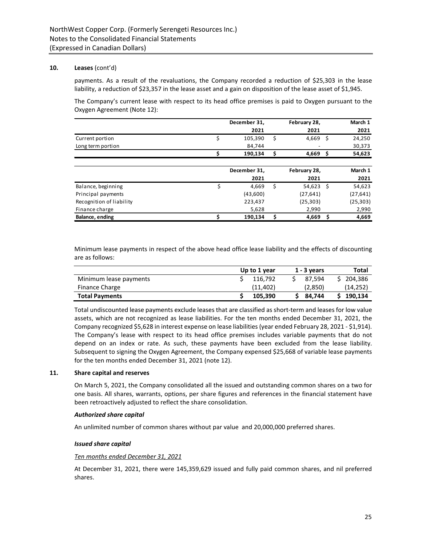## **10. Leases** (cont'd)

payments. As a result of the revaluations, the Company recorded a reduction of \$25,303 in the lease liability, a reduction of \$23,357 in the lease asset and a gain on disposition of the lease asset of \$1,945.

The Company's current lease with respect to its head office premises is paid to Oxygen pursuant to the Oxygen Agreement (Note 12):

|                          | December 31,  |    | February 28, |     | March 1   |
|--------------------------|---------------|----|--------------|-----|-----------|
|                          | 2021          |    | 2021         |     | 2021      |
| Current portion          | \$<br>105,390 | \$ | 4,669        | \$  | 24,250    |
| Long term portion        | 84,744        |    |              |     | 30,373    |
|                          | 190,134       | s  | 4,669        | -Ś. | 54,623    |
|                          | December 31,  |    | February 28, |     | March 1   |
|                          | 2021          |    | 2021         |     | 2021      |
| Balance, beginning       | \$<br>4,669   | \$ | $54,623$ \$  |     | 54,623    |
| Principal payments       | (43,600)      |    | (27, 641)    |     | (27, 641) |
| Recognition of liability | 223,437       |    | (25, 303)    |     | (25, 303) |
| Finance charge           | 5,628         |    | 2,990        |     | 2,990     |
| Balance, ending          | 190,134       | \$ | 4,669        | S   | 4,669     |

Minimum lease payments in respect of the above head office lease liability and the effects of discounting are as follows:

|                        | Up to 1 year | 1 - 3 vears | Total     |
|------------------------|--------------|-------------|-----------|
| Minimum lease payments | 116.792      | 87.594      | \$204.386 |
| Finance Charge         | (11.402)     | (2,850)     | (14, 252) |
| <b>Total Payments</b>  | 105.390      | 84.744      | 190.134   |

Total undiscounted lease payments exclude leases that are classified as short-term and leases for low value assets, which are not recognized as lease liabilities. For the ten months ended December 31, 2021, the Company recognized \$5,628 in interest expense on lease liabilities (year ended February 28, 2021 - \$1,914). The Company's lease with respect to its head office premises includes variable payments that do not depend on an index or rate. As such, these payments have been excluded from the lease liability. Subsequent to signing the Oxygen Agreement, the Company expensed \$25,668 of variable lease payments for the ten months ended December 31, 2021 (note 12).

## **11. Share capital and reserves**

On March 5, 2021, the Company consolidated all the issued and outstanding common shares on a two for one basis. All shares, warrants, options, per share figures and references in the financial statement have been retroactively adjusted to reflect the share consolidation.

## *Authorized share capital*

An unlimited number of common shares without par value and 20,000,000 preferred shares.

#### *Issued share capital*

## *Ten months ended December 31, 2021*

At December 31, 2021, there were 145,359,629 issued and fully paid common shares, and nil preferred shares.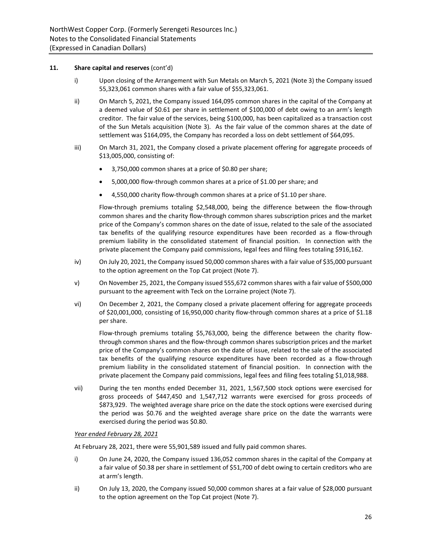- i) Upon closing of the Arrangement with Sun Metals on March 5, 2021 (Note 3) the Company issued 55,323,061 common shares with a fair value of \$55,323,061.
- ii) On March 5, 2021, the Company issued 164,095 common shares in the capital of the Company at a deemed value of \$0.61 per share in settlement of \$100,000 of debt owing to an arm's length creditor. The fair value of the services, being \$100,000, has been capitalized as a transaction cost of the Sun Metals acquisition (Note 3). As the fair value of the common shares at the date of settlement was \$164,095, the Company has recorded a loss on debt settlement of \$64,095.
- iii) On March 31, 2021, the Company closed a private placement offering for aggregate proceeds of \$13,005,000, consisting of:
	- 3,750,000 common shares at a price of \$0.80 per share;
	- 5,000,000 flow-through common shares at a price of \$1.00 per share; and
	- 4,550,000 charity flow-through common shares at a price of \$1.10 per share.

Flow-through premiums totaling \$2,548,000, being the difference between the flow-through common shares and the charity flow-through common shares subscription prices and the market price of the Company's common shares on the date of issue, related to the sale of the associated tax benefits of the qualifying resource expenditures have been recorded as a flow-through premium liability in the consolidated statement of financial position. In connection with the private placement the Company paid commissions, legal fees and filing fees totaling \$916,162.

- iv) On July 20, 2021, the Company issued 50,000 common shares with a fair value of \$35,000 pursuant to the option agreement on the Top Cat project (Note 7).
- v) On November 25, 2021, the Company issued 555,672 common shares with a fair value of \$500,000 pursuant to the agreement with Teck on the Lorraine project (Note 7).
- vi) On December 2, 2021, the Company closed a private placement offering for aggregate proceeds of \$20,001,000, consisting of 16,950,000 charity flow-through common shares at a price of \$1.18 per share.

Flow-through premiums totaling \$5,763,000, being the difference between the charity flowthrough common shares and the flow-through common shares subscription prices and the market price of the Company's common shares on the date of issue, related to the sale of the associated tax benefits of the qualifying resource expenditures have been recorded as a flow-through premium liability in the consolidated statement of financial position. In connection with the private placement the Company paid commissions, legal fees and filing fees totaling \$1,018,988.

vii) During the ten months ended December 31, 2021, 1,567,500 stock options were exercised for gross proceeds of \$447,450 and 1,547,712 warrants were exercised for gross proceeds of \$873,929. The weighted average share price on the date the stock options were exercised during the period was \$0.76 and the weighted average share price on the date the warrants were exercised during the period was \$0.80.

## *Year ended February 28, 2021*

At February 28, 2021, there were 55,901,589 issued and fully paid common shares.

- i) On June 24, 2020, the Company issued 136,052 common shares in the capital of the Company at a fair value of \$0.38 per share in settlement of \$51,700 of debt owing to certain creditors who are at arm's length.
- ii) On July 13, 2020, the Company issued 50,000 common shares at a fair value of \$28,000 pursuant to the option agreement on the Top Cat project (Note 7).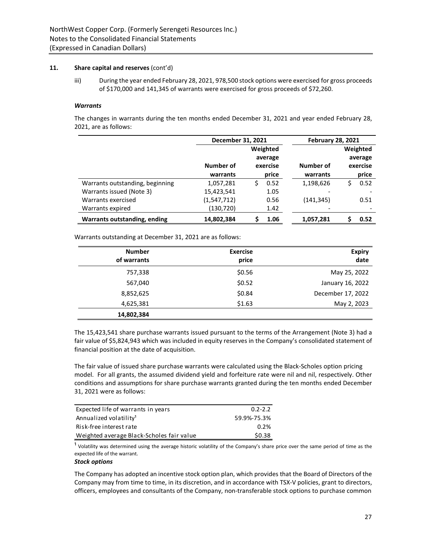iii) During the year ended February 28, 2021, 978,500 stock options were exercised for gross proceeds of \$170,000 and 141,345 of warrants were exercised for gross proceeds of \$72,260.

## *Warrants*

The changes in warrants during the ten months ended December 31, 2021 and year ended February 28, 2021, are as follows:

|                                 |               | December 31, 2021 |          |            |    | <b>February 28, 2021</b> |
|---------------------------------|---------------|-------------------|----------|------------|----|--------------------------|
|                                 |               |                   | Weighted |            |    | Weighted                 |
|                                 |               |                   | average  |            |    | average                  |
|                                 | Number of     |                   | exercise | Number of  |    | exercise                 |
|                                 | warrants      |                   | price    | warrants   |    | price                    |
| Warrants outstanding, beginning | 1,057,281     | S.                | 0.52     | 1,198,626  | Ś. | 0.52                     |
| Warrants issued (Note 3)        | 15,423,541    |                   | 1.05     |            |    |                          |
| Warrants exercised              | (1, 547, 712) |                   | 0.56     | (141, 345) |    | 0.51                     |
| Warrants expired                | (130, 720)    |                   | 1.42     |            |    |                          |
| Warrants outstanding, ending    | 14,802,384    |                   | 1.06     | 1,057,281  |    | 0.52                     |

| <b>Number</b> | <b>Exercise</b> | <b>Expiry</b>     |
|---------------|-----------------|-------------------|
| of warrants   | price           | date              |
| 757,338       | \$0.56          | May 25, 2022      |
| 567,040       | \$0.52          | January 16, 2022  |
| 8,852,625     | \$0.84          | December 17, 2022 |
| 4,625,381     | \$1.63          | May 2, 2023       |
| 14,802,384    |                 |                   |

Warrants outstanding at December 31, 2021 are as follows:

The 15,423,541 share purchase warrants issued pursuant to the terms of the Arrangement (Note 3) had a fair value of \$5,824,943 which was included in equity reserves in the Company's consolidated statement of financial position at the date of acquisition.

The fair value of issued share purchase warrants were calculated using the Black-Scholes option pricing model. For all grants, the assumed dividend yield and forfeiture rate were nil and nil, respectively. Other conditions and assumptions for share purchase warrants granted during the ten months ended December 31, 2021 were as follows:

| Expected life of warrants in years        | $0.2 - 2.2$ |
|-------------------------------------------|-------------|
| Annualized volatility <sup>1</sup>        | 59.9%-75.3% |
| Risk-free interest rate                   | 0.2%        |
| Weighted average Black-Scholes fair value | \$0.38      |

 $<sup>1</sup>$  Volatility was determined using the average historic volatility of the Company's share price over the same period of time as the</sup> expected life of the warrant.

## *Stock options*

The Company has adopted an incentive stock option plan, which provides that the Board of Directors of the Company may from time to time, in its discretion, and in accordance with TSX-V policies, grant to directors, officers, employees and consultants of the Company, non-transferable stock options to purchase common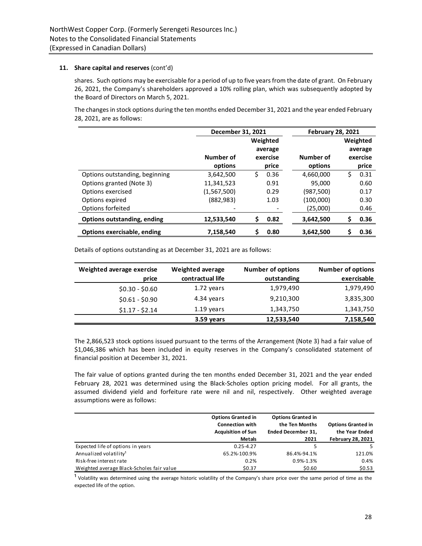shares. Such options may be exercisable for a period of up to five years from the date of grant. On February 26, 2021, the Company's shareholders approved a 10% rolling plan, which was subsequently adopted by the Board of Directors on March 5, 2021.

The changes in stock options during the ten months ended December 31, 2021 and the year ended February 28, 2021, are as follows:

|                                | December 31, 2021 |            | <b>February 28, 2021</b> |            |  |
|--------------------------------|-------------------|------------|--------------------------|------------|--|
|                                |                   | Weighted   |                          | Weighted   |  |
|                                |                   | average    |                          | average    |  |
|                                | Number of         | exercise   | Number of                | exercise   |  |
|                                | options           | price      | options                  | price      |  |
| Options outstanding, beginning | 3,642,500         | Ś<br>0.36  | 4,660,000                | \$<br>0.31 |  |
| Options granted (Note 3)       | 11,341,523        | 0.91       | 95.000                   | 0.60       |  |
| Options exercised              | (1,567,500)       | 0.29       | (987, 500)               | 0.17       |  |
| Options expired                | (882, 983)        | 1.03       | (100,000)                | 0.30       |  |
| Options forfeited              |                   |            | (25,000)                 | 0.46       |  |
| Options outstanding, ending    | 12,533,540        | \$<br>0.82 | 3,642,500                | \$<br>0.36 |  |
| Options exercisable, ending    | 7,158,540         | S<br>0.80  | 3,642,500                | \$<br>0.36 |  |

Details of options outstanding as at December 31, 2021 are as follows:

| Weighted average exercise | <b>Weighted average</b> | <b>Number of options</b> | <b>Number of options</b> |
|---------------------------|-------------------------|--------------------------|--------------------------|
| price                     | contractual life        | outstanding              | exercisable              |
| $$0.30 - $0.60$           | 1.72 years              | 1,979,490                | 1,979,490                |
| $$0.61 - $0.90$           | 4.34 years              | 9,210,300                | 3,835,300                |
| $$1.17 - $2.14$           | 1.19 years              | 1,343,750                | 1,343,750                |
|                           | 3.59 years              | 12,533,540               | 7,158,540                |

The 2,866,523 stock options issued pursuant to the terms of the Arrangement (Note 3) had a fair value of \$1,046,386 which has been included in equity reserves in the Company's consolidated statement of financial position at December 31, 2021.

The fair value of options granted during the ten months ended December 31, 2021 and the year ended February 28, 2021 was determined using the Black-Scholes option pricing model. For all grants, the assumed dividend yield and forfeiture rate were nil and nil, respectively. Other weighted average assumptions were as follows:

|                                           | <b>Options Granted in</b><br><b>Connection with</b><br><b>Acquisition of Sun</b><br><b>Metals</b> | <b>Options Granted in</b><br>the Ten Months<br><b>Ended December 31,</b><br>2021 | <b>Options Granted in</b><br>the Year Ended<br><b>February 28, 2021</b> |
|-------------------------------------------|---------------------------------------------------------------------------------------------------|----------------------------------------------------------------------------------|-------------------------------------------------------------------------|
| Expected life of options in years         | $0.25 - 4.27$                                                                                     |                                                                                  |                                                                         |
| Annualized volatility <sup>1</sup>        | 65.2%-100.9%                                                                                      | 86.4%-94.1%                                                                      | 121.0%                                                                  |
| Risk-free interest rate                   | 0.2%                                                                                              | 0.9%-1.3%                                                                        | 0.4%                                                                    |
| Weighted average Black-Scholes fair value | \$0.37                                                                                            | \$0.60                                                                           | \$0.53                                                                  |

 $1$  Volatility was determined using the average historic volatility of the Company's share price over the same period of time as the expected life of the option.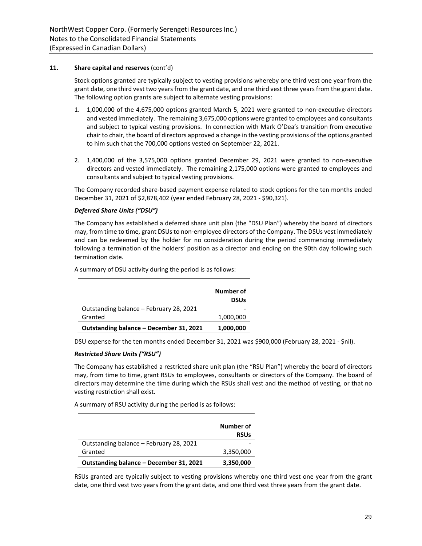Stock options granted are typically subject to vesting provisions whereby one third vest one year from the grant date, one third vest two years from the grant date, and one third vest three years from the grant date. The following option grants are subject to alternate vesting provisions:

- 1. 1,000,000 of the 4,675,000 options granted March 5, 2021 were granted to non-executive directors and vested immediately. The remaining 3,675,000 options were granted to employees and consultants and subject to typical vesting provisions. In connection with Mark O'Dea's transition from executive chair to chair, the board of directors approved a change in the vesting provisions of the options granted to him such that the 700,000 options vested on September 22, 2021.
- 2. 1,400,000 of the 3,575,000 options granted December 29, 2021 were granted to non-executive directors and vested immediately. The remaining 2,175,000 options were granted to employees and consultants and subject to typical vesting provisions.

The Company recorded share-based payment expense related to stock options for the ten months ended December 31, 2021 of \$2,878,402 (year ended February 28, 2021 - \$90,321).

## *Deferred Share Units ("DSU")*

The Company has established a deferred share unit plan (the "DSU Plan") whereby the board of directors may, from time to time, grant DSUs to non-employee directors of the Company. The DSUs vest immediately and can be redeemed by the holder for no consideration during the period commencing immediately following a termination of the holders' position as a director and ending on the 90th day following such termination date.

A summary of DSU activity during the period is as follows:

|                                         | Number of<br><b>DSUs</b> |
|-----------------------------------------|--------------------------|
| Outstanding balance – February 28, 2021 |                          |
| Granted                                 | 1,000,000                |
| Outstanding balance - December 31, 2021 | 1,000,000                |

DSU expense for the ten months ended December 31, 2021 was \$900,000 (February 28, 2021 - \$nil).

## *Restricted Share Units ("RSU")*

The Company has established a restricted share unit plan (the "RSU Plan") whereby the board of directors may, from time to time, grant RSUs to employees, consultants or directors of the Company. The board of directors may determine the time during which the RSUs shall vest and the method of vesting, or that no vesting restriction shall exist.

A summary of RSU activity during the period is as follows:

|                                         | Number of<br><b>RSUs</b> |
|-----------------------------------------|--------------------------|
| Outstanding balance - February 28, 2021 |                          |
| Granted                                 | 3,350,000                |
| Outstanding balance - December 31, 2021 | 3,350,000                |

RSUs granted are typically subject to vesting provisions whereby one third vest one year from the grant date, one third vest two years from the grant date, and one third vest three years from the grant date.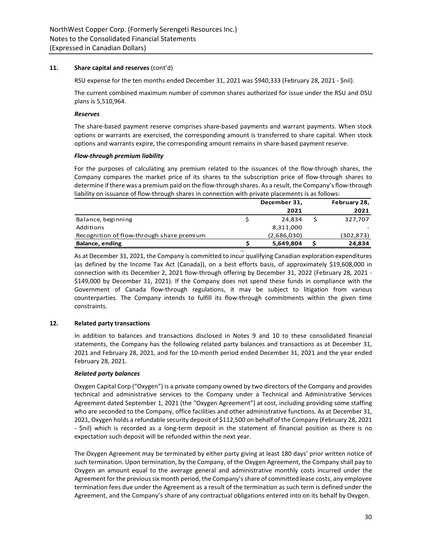RSU expense for the ten months ended December 31, 2021 was \$940,333 (February 28, 2021 - \$nil).

The current combined maximum number of common shares authorized for issue under the RSU and DSU plans is 5,510,964.

## *Reserves*

The share-based payment reserve comprises share-based payments and warrant payments. When stock options or warrants are exercised, the corresponding amount is transferred to share capital. When stock options and warrants expire, the corresponding amount remains in share-based payment reserve.

## *Flow-through premium liability*

For the purposes of calculating any premium related to the issuances of the flow-through shares, the Company compares the market price of its shares to the subscription price of flow-through shares to determine if there was a premium paid on the flow-through shares. As a result, the Company's flow-through liability on issuance of flow-through shares in connection with private placements is as follows:

|                                           | December 31, |  | February 28, |  |
|-------------------------------------------|--------------|--|--------------|--|
|                                           | 2021         |  | 2021         |  |
| Balance, beginning                        | 24.834       |  | 327,707      |  |
| Additions                                 | 8,311,000    |  |              |  |
| Recognition of flow-through share premium | (2,686,030)  |  | (302, 873)   |  |
| Balance, ending                           | 5,649,804    |  | 24,834       |  |

As at December 31, 2021, the Company is committed to incur qualifying Canadian exploration expenditures (as defined by the Income Tax Act (Canada)), on a best efforts basis, of approximately \$19,608,000 in connection with its December 2, 2021 flow-through offering by December 31, 2022 (February 28, 2021 - \$149,000 by December 31, 2021). If the Company does not spend these funds in compliance with the Government of Canada flow-through regulations, it may be subject to litigation from various counterparties. The Company intends to fulfill its flow-through commitments within the given time constraints.

## **12. Related party transactions**

In addition to balances and transactions disclosed in Notes 9 and 10 to these consolidated financial statements, the Company has the following related party balances and transactions as at December 31, 2021 and February 28, 2021, and for the 10-month period ended December 31, 2021 and the year ended February 28, 2021.

## *Related party balances*

Oxygen Capital Corp ("Oxygen") is a private company owned by two directors of the Company and provides technical and administrative services to the Company under a Technical and Administrative Services Agreement dated September 1, 2021 (the "Oxygen Agreement") at cost, including providing some staffing who are seconded to the Company, office facilities and other administrative functions. As at December 31, 2021, Oxygen holds a refundable security deposit of \$112,500 on behalf of the Company (February 28, 2021 - \$nil) which is recorded as a long-term deposit in the statement of financial position as there is no expectation such deposit will be refunded within the next year.

The Oxygen Agreement may be terminated by either party giving at least 180 days' prior written notice of such termination. Upon termination, by the Company, of the Oxygen Agreement, the Company shall pay to Oxygen an amount equal to the average general and administrative monthly costs incurred under the Agreement for the previous six month period, the Company's share of committed lease costs, any employee termination fees due under the Agreement as a result of the termination as such term is defined under the Agreement, and the Company's share of any contractual obligations entered into on its behalf by Oxygen.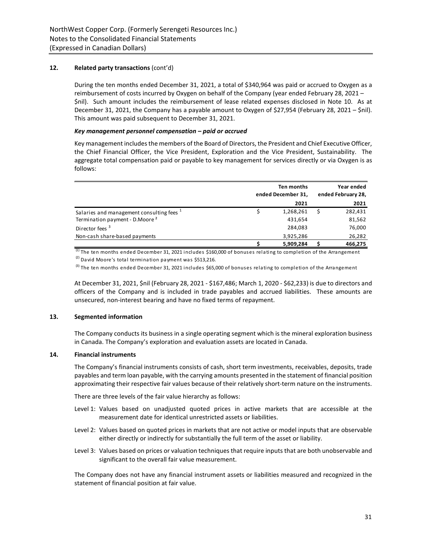## **12. Related party transactions** (cont'd)

During the ten months ended December 31, 2021, a total of \$340,964 was paid or accrued to Oxygen as a reimbursement of costs incurred by Oxygen on behalf of the Company (year ended February 28, 2021 – \$nil). Such amount includes the reimbursement of lease related expenses disclosed in Note 10. As at December 31, 2021, the Company has a payable amount to Oxygen of \$27,954 (February 28, 2021 – \$nil). This amount was paid subsequent to December 31, 2021.

## *Key management personnel compensation – paid or accrued*

Key management includes the members of the Board of Directors, the President and Chief Executive Officer, the Chief Financial Officer, the Vice President, Exploration and the Vice President, Sustainability. The aggregate total compensation paid or payable to key management for services directly or via Oxygen is as follows:

|                                                      | Ten months<br>ended December 31, |  | Year ended<br>ended February 28, |  |
|------------------------------------------------------|----------------------------------|--|----------------------------------|--|
|                                                      | 2021                             |  | 2021                             |  |
| Salaries and management consulting fees <sup>1</sup> | 1,268,261                        |  | 282,431                          |  |
| Termination payment - D.Moore <sup>2</sup>           | 431,654                          |  | 81,562                           |  |
| Director fees <sup>3</sup>                           | 284,083                          |  | 76,000                           |  |
| Non-cash share-based payments                        | 3,925,286                        |  | 26,282                           |  |
|                                                      | 5,909,284                        |  | 466,275                          |  |

 $(2)$  David Moore's total termination payment was \$513,216. (1) The ten months ended December 31, 2021 includes \$160,000 of bonuses relating to completion of the Arrangement

 $(3)$  The ten months ended December 31, 2021 includes \$65,000 of bonuses relating to completion of the Arrangement

At December 31, 2021, \$nil (February 28, 2021 - \$167,486; March 1, 2020 - \$62,233) is due to directors and officers of the Company and is included in trade payables and accrued liabilities. These amounts are unsecured, non-interest bearing and have no fixed terms of repayment.

## **13. Segmented information**

The Company conducts its business in a single operating segment which is the mineral exploration business in Canada. The Company's exploration and evaluation assets are located in Canada.

## **14. Financial instruments**

The Company's financial instruments consists of cash, short term investments, receivables, deposits, trade payables and term loan payable, with the carrying amounts presented in the statement of financial position approximating their respective fair values because of their relatively short-term nature on the instruments.

There are three levels of the fair value hierarchy as follows:

- Level 1: Values based on unadjusted quoted prices in active markets that are accessible at the measurement date for identical unrestricted assets or liabilities.
- Level 2: Values based on quoted prices in markets that are not active or model inputs that are observable either directly or indirectly for substantially the full term of the asset or liability.
- Level 3: Values based on prices or valuation techniques that require inputs that are both unobservable and significant to the overall fair value measurement.

The Company does not have any financial instrument assets or liabilities measured and recognized in the statement of financial position at fair value.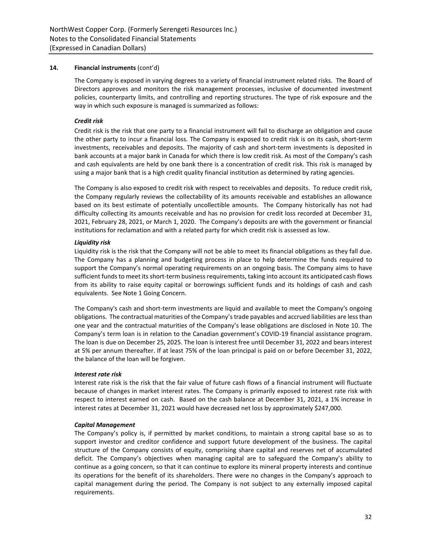## **14. Financial instruments** (cont'd)

The Company is exposed in varying degrees to a variety of financial instrument related risks. The Board of Directors approves and monitors the risk management processes, inclusive of documented investment policies, counterparty limits, and controlling and reporting structures. The type of risk exposure and the way in which such exposure is managed is summarized as follows:

## *Credit risk*

Credit risk is the risk that one party to a financial instrument will fail to discharge an obligation and cause the other party to incur a financial loss. The Company is exposed to credit risk is on its cash, short-term investments, receivables and deposits. The majority of cash and short-term investments is deposited in bank accounts at a major bank in Canada for which there is low credit risk. As most of the Company's cash and cash equivalents are held by one bank there is a concentration of credit risk. This risk is managed by using a major bank that is a high credit quality financial institution as determined by rating agencies.

The Company is also exposed to credit risk with respect to receivables and deposits. To reduce credit risk, the Company regularly reviews the collectability of its amounts receivable and establishes an allowance based on its best estimate of potentially uncollectible amounts. The Company historically has not had difficulty collecting its amounts receivable and has no provision for credit loss recorded at December 31, 2021, February 28, 2021, or March 1, 2020. The Company's deposits are with the government or financial institutions for reclamation and with a related party for which credit risk is assessed as low.

## *Liquidity risk*

Liquidity risk is the risk that the Company will not be able to meet its financial obligations as they fall due. The Company has a planning and budgeting process in place to help determine the funds required to support the Company's normal operating requirements on an ongoing basis. The Company aims to have sufficient funds to meet its short-term business requirements, taking into account its anticipated cash flows from its ability to raise equity capital or borrowings sufficient funds and its holdings of cash and cash equivalents. See Note 1 Going Concern.

The Company's cash and short-term investments are liquid and available to meet the Company's ongoing obligations. The contractual maturities of the Company's trade payables and accrued liabilities are less than one year and the contractual maturities of the Company's lease obligations are disclosed in Note 10. The Company's term loan is in relation to the Canadian government's COVID-19 financial assistance program. The loan is due on December 25, 2025. The loan is interest free until December 31, 2022 and bears interest at 5% per annum thereafter. If at least 75% of the loan principal is paid on or before December 31, 2022, the balance of the loan will be forgiven.

## *Interest rate risk*

Interest rate risk is the risk that the fair value of future cash flows of a financial instrument will fluctuate because of changes in market interest rates. The Company is primarily exposed to interest rate risk with respect to interest earned on cash. Based on the cash balance at December 31, 2021, a 1% increase in interest rates at December 31, 2021 would have decreased net loss by approximately \$247,000.

## *Capital Management*

The Company's policy is, if permitted by market conditions, to maintain a strong capital base so as to support investor and creditor confidence and support future development of the business. The capital structure of the Company consists of equity, comprising share capital and reserves net of accumulated deficit. The Company's objectives when managing capital are to safeguard the Company's ability to continue as a going concern, so that it can continue to explore its mineral property interests and continue its operations for the benefit of its shareholders. There were no changes in the Company's approach to capital management during the period. The Company is not subject to any externally imposed capital requirements.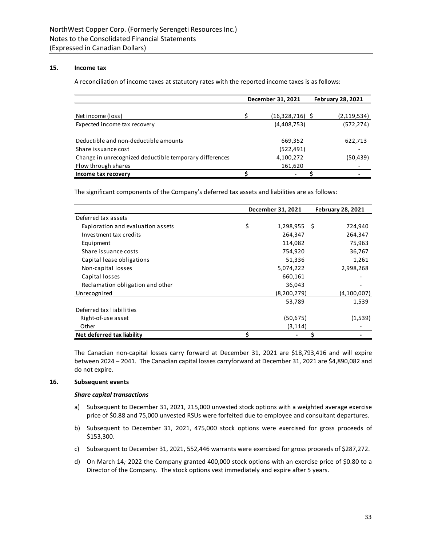## **15. Income tax**

A reconciliation of income taxes at statutory rates with the reported income taxes is as follows:

|                                                         | December 31, 2021 |                 | <b>February 28, 2021</b> |  |
|---------------------------------------------------------|-------------------|-----------------|--------------------------|--|
|                                                         |                   |                 |                          |  |
| Net income (loss)                                       |                   | (16,328,716) \$ | (2,119,534)              |  |
| Expected income tax recovery                            |                   | (4,408,753)     | (572, 274)               |  |
|                                                         |                   |                 |                          |  |
| Deductible and non-deductible amounts                   |                   | 669,352         | 622,713                  |  |
| Share issuance cost                                     |                   | (522, 491)      |                          |  |
| Change in unrecognized deductible temporary differences |                   | 4,100,272       | (50, 439)                |  |
| Flow through shares                                     |                   | 161,620         |                          |  |
| Income tax recovery                                     |                   |                 |                          |  |

The significant components of the Company's deferred tax assets and liabilities are as follows:

|                                   |    | December 31, 2021 | <b>February 28, 2021</b> |
|-----------------------------------|----|-------------------|--------------------------|
| Deferred tax assets               |    |                   |                          |
| Exploration and evaluation assets | \$ | 1,298,955         | - \$<br>724,940          |
| Investment tax credits            |    | 264,347           | 264,347                  |
| Equipment                         |    | 114,082           | 75,963                   |
| Share issuance costs              |    | 754,920           | 36,767                   |
| Capital lease obligations         |    | 51,336            | 1,261                    |
| Non-capital losses                |    | 5,074,222         | 2,998,268                |
| Capital losses                    |    | 660,161           |                          |
| Reclamation obligation and other  |    | 36,043            |                          |
| Unrecognized                      |    | (8,200,279)       | (4,100,007)              |
|                                   |    | 53,789            | 1,539                    |
| Deferred tax liabilities          |    |                   |                          |
| Right-of-use asset                |    | (50, 675)         | (1,539)                  |
| Other                             |    | (3, 114)          |                          |
| Net deferred tax liability        | Ś  |                   | Ś                        |

The Canadian non-capital losses carry forward at December 31, 2021 are \$18,793,416 and will expire between 2024 – 2041. The Canadian capital losses carryforward at December 31, 2021 are \$4,890,082 and do not expire.

## **16. Subsequent events**

## *Share capital transactions*

- a) Subsequent to December 31, 2021, 215,000 unvested stock options with a weighted average exercise price of \$0.88 and 75,000 unvested RSUs were forfeited due to employee and consultant departures.
- b) Subsequent to December 31, 2021, 475,000 stock options were exercised for gross proceeds of \$153,300.
- c) Subsequent to December 31, 2021, 552,446 warrants were exercised for gross proceeds of \$287,272.
- d) On March 14, 2022 the Company granted 400,000 stock options with an exercise price of \$0.80 to a Director of the Company. The stock options vest immediately and expire after 5 years.